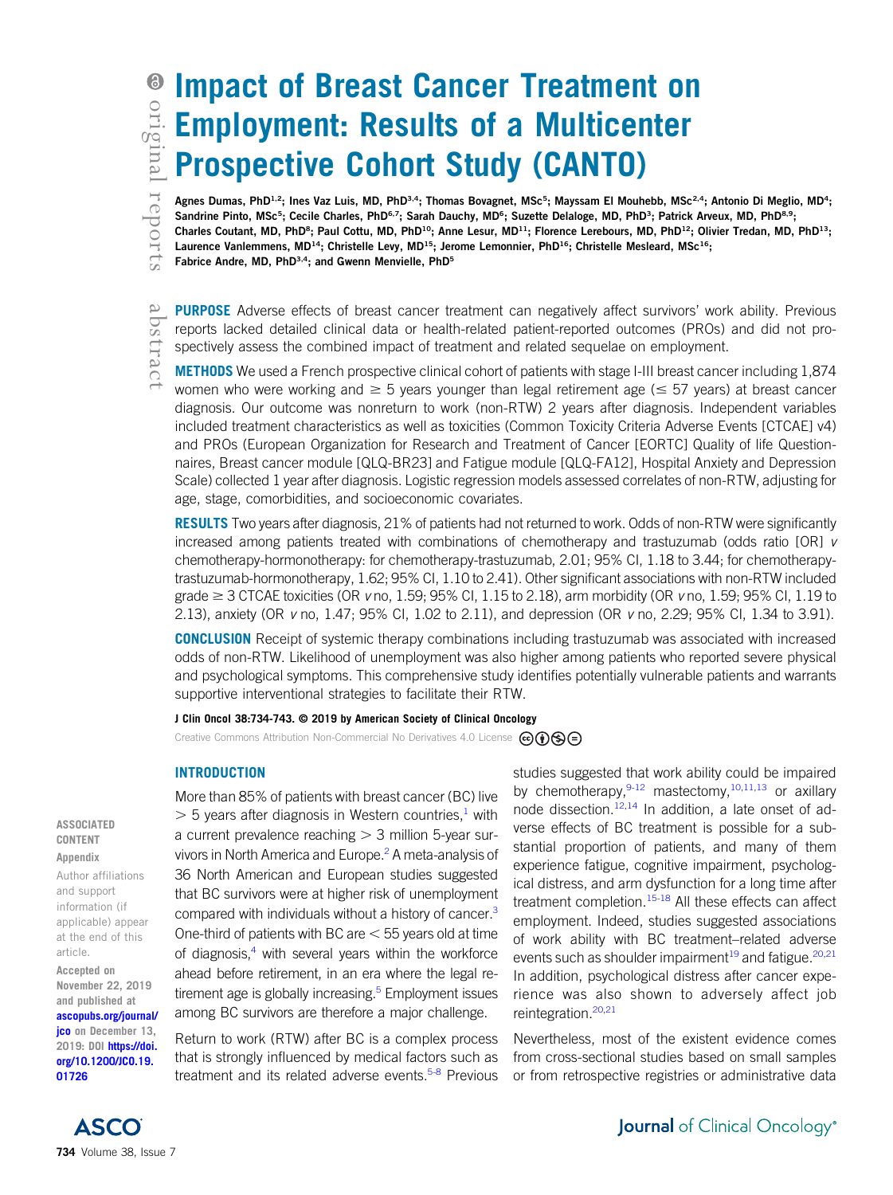abstract

# Impact of Breast Cancer Treatment on Employment: Results of a Multicenter Prospective Cohort Study (CANTO)

Agnes Dumas, PhD<sup>1,2</sup>; Ines Vaz Luis, MD, PhD<sup>3,4</sup>; Thomas Bovagnet, MSc<sup>5</sup> ; Mayssam El Mouhebb, MSc<sup>2,4</sup>; Antonio Di Meglio, MD<sup>4</sup>; Sandrine Pinto, MSc<sup>5</sup>; Cecile Charles, PhD<sup>6,7</sup>; Sarah Dauchy, MD<sup>6</sup>; Suzette Delaloge, MD, PhD<sup>3</sup> Sandrine Pinto, MSc<sup>5</sup>; Cecile Charles, PhD<sup>6,7</sup>; Sarah Dauchy, MD<sup>6</sup>; Suzette Delaloge, MD, PhD<sup>3</sup>; Patrick Arveux, MD, PhD<sup>8,9</sup>; Charles Coutant, MD, PhD<sup>8</sup> Charles Coutant, MD, PhD<sup>8</sup>; Paul Cottu, MD, PhD<sup>10</sup>; Anne Lesur, MD<sup>11</sup>; Florence Lerebours, MD, PhD<sup>12</sup>; Olivier Tredan, MD, PhD<sup>13</sup>; Laurence Vanlemmens, MD<sup>14</sup>; Christelle Levy, MD<sup>15</sup>; Jerome Lemonnier, PhD<sup>16</sup>; Christelle Mesleard, MSc<sup>16</sup>; Fabrice Andre, MD, PhD<sup>3,4</sup>; and Gwenn Menvielle, PhD<sup>5</sup>

**PURPOSE** Adverse effects of breast cancer treatment can negatively affect survivors' work ability. Previous reports lacked detailed clinical data or health-related patient-reported outcomes (PROs) and did not prospectively assess the combined impact of treatment and related sequelae on employment.

METHODS We used a French prospective clinical cohort of patients with stage I-III breast cancer including 1,874 women who were working and  $\geq 5$  years younger than legal retirement age ( $\leq 57$  years) at breast cancer diagnosis. Our outcome was nonreturn to work (non-RTW) 2 years after diagnosis. Independent variables included treatment characteristics as well as toxicities (Common Toxicity Criteria Adverse Events [CTCAE] v4) and PROs (European Organization for Research and Treatment of Cancer [EORTC] Quality of life Questionnaires, Breast cancer module [QLQ-BR23] and Fatigue module [QLQ-FA12], Hospital Anxiety and Depression Scale) collected 1 year after diagnosis. Logistic regression models assessed correlates of non-RTW, adjusting for age, stage, comorbidities, and socioeconomic covariates.

**RESULTS** Two years after diagnosis, 21% of patients had not returned to work. Odds of non-RTW were significantly increased among patients treated with combinations of chemotherapy and trastuzumab (odds ratio [OR] v chemotherapy-hormonotherapy: for chemotherapy-trastuzumab, 2.01; 95% CI, 1.18 to 3.44; for chemotherapytrastuzumab-hormonotherapy, 1.62; 95% CI, 1.10 to 2.41). Other significant associations with non-RTW included grade  $\geq$  3 CTCAE toxicities (OR v no, 1.59; 95% Cl, 1.15 to 2.18), arm morbidity (OR v no, 1.59; 95% Cl, 1.19 to 2.13), anxiety (OR v no, 1.47; 95% CI, 1.02 to 2.11), and depression (OR v no, 2.29; 95% CI, 1.34 to 3.91).

CONCLUSION Receipt of systemic therapy combinations including trastuzumab was associated with increased odds of non-RTW. Likelihood of unemployment was also higher among patients who reported severe physical and psychological symptoms. This comprehensive study identifies potentially vulnerable patients and warrants supportive interventional strategies to facilitate their RTW.

#### J Clin Oncol 38:734-743. © 2019 by American Society of Clinical Oncology

Creative Commons Attribution Non-Commercial No Derivatives 4.0 License  $\bigcirc \mathbf{\odot} \mathbf{\odot} \bigcirc$ 

## INTRODUCTION

# More than 85% of patients with breast cancer (BC) live  $>$  5 years after diagnosis in Western countries, with a current prevalence reaching  $>$  3 million 5-year sur-vivors in North America and Europe.<sup>[2](#page-7-1)</sup> A meta-analysis of 36 North American and European studies suggested that BC survivors were at higher risk of unemployment compared with individuals without a history of cancer.<sup>3</sup> One-third of patients with BC are  $<$  55 years old at time of diagnosis, $4$  with several years within the workforce ahead before retirement, in an era where the legal retirement age is globally increasing.<sup>5</sup> Employment issues among BC survivors are therefore a major challenge.

Return to work (RTW) after BC is a complex process that is strongly influenced by medical factors such as treatment and its related adverse events.<sup>5-[8](#page-8-0)</sup> Previous

studies suggested that work ability could be impaired by chemotherapy,  $9-12$  $9-12$  mastectomy,  $10,11,13$  $10,11,13$  $10,11,13$  $10,11,13$  or axillary node dissection.<sup>[12](#page-8-2),[14](#page-8-6)</sup> In addition, a late onset of adverse effects of BC treatment is possible for a substantial proportion of patients, and many of them experience fatigue, cognitive impairment, psychological distress, and arm dysfunction for a long time after treatment completion.<sup>[15-](#page-8-7)[18](#page-8-8)</sup> All these effects can affect employment. Indeed, studies suggested associations of work ability with BC treatment–related adverse events such as shoulder impairment<sup>[19](#page-8-9)</sup> and fatigue.<sup>[20](#page-8-10)[,21](#page-8-11)</sup> In addition, psychological distress after cancer experience was also shown to adversely affect job reintegration.<sup>20,[21](#page-8-11)</sup>

Nevertheless, most of the existent evidence comes from cross-sectional studies based on small samples or from retrospective registries or administrative data

#### ASSOCIATED CONTENT Appendix

Author affiliations and support information (if applicable) appear at the end of this article.

Accepted on November 22, 2019 and published at [ascopubs.org/journal/](http://ascopubs.org/journal/jco) ico on December 13, 2019: DOI [https://doi.](http://ascopubs.org/doi/full/10.1200/JCO.19.01726) [org/10.1200/JCO.19.](http://ascopubs.org/doi/full/10.1200/JCO.19.01726) [01726](http://ascopubs.org/doi/full/10.1200/JCO.19.01726)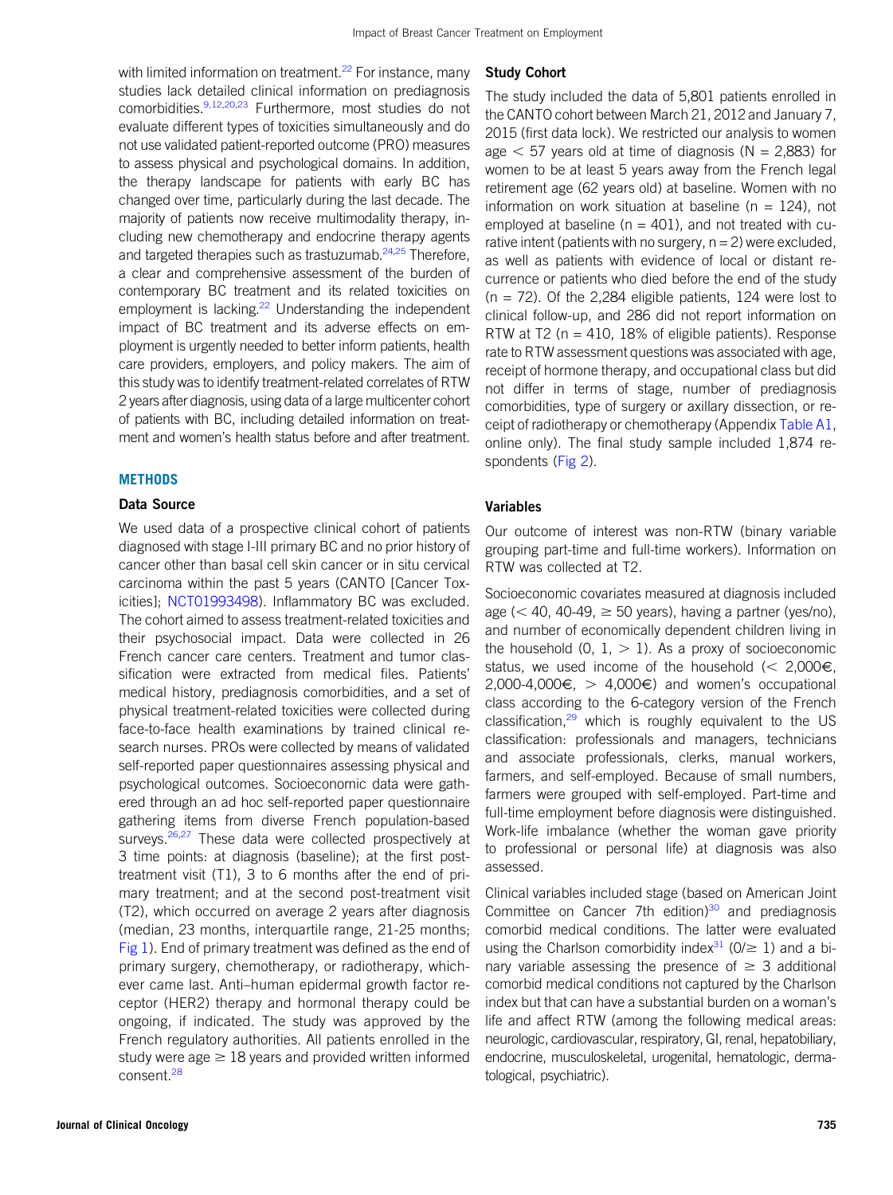with limited information on treatment.<sup>[22](#page-8-12)</sup> For instance, many studies lack detailed clinical information on prediagnosis comorbidities.<sup>[9,](#page-8-1)[12](#page-8-2)[,20,](#page-8-10)[23](#page-8-13)</sup> Furthermore, most studies do not evaluate different types of toxicities simultaneously and do not use validated patient-reported outcome (PRO) measures to assess physical and psychological domains. In addition, the therapy landscape for patients with early BC has changed over time, particularly during the last decade. The majority of patients now receive multimodality therapy, including new chemotherapy and endocrine therapy agents and targeted therapies such as trastuzumab.<sup>[24](#page-8-14)[,25](#page-8-15)</sup> Therefore, a clear and comprehensive assessment of the burden of contemporary BC treatment and its related toxicities on employment is lacking.<sup>22</sup> Understanding the independent impact of BC treatment and its adverse effects on employment is urgently needed to better inform patients, health care providers, employers, and policy makers. The aim of this study was to identify treatment-related correlates of RTW 2 years after diagnosis, using data of a large multicenter cohort of patients with BC, including detailed information on treatment and women's health status before and after treatment.

#### **METHODS**

## Data Source

We used data of a prospective clinical cohort of patients diagnosed with stage I-III primary BC and no prior history of cancer other than basal cell skin cancer or in situ cervical carcinoma within the past 5 years (CANTO [Cancer Toxicities]; [NCT01993498](https://clinicaltrials.gov/ct2/show/NCT01993498)). Inflammatory BC was excluded. The cohort aimed to assess treatment-related toxicities and their psychosocial impact. Data were collected in 26 French cancer care centers. Treatment and tumor classification were extracted from medical files. Patients' medical history, prediagnosis comorbidities, and a set of physical treatment-related toxicities were collected during face-to-face health examinations by trained clinical research nurses. PROs were collected by means of validated self-reported paper questionnaires assessing physical and psychological outcomes. Socioeconomic data were gathered through an ad hoc self-reported paper questionnaire gathering items from diverse French population-based surveys.<sup>[26](#page-8-16)[,27](#page-8-17)</sup> These data were collected prospectively at 3 time points: at diagnosis (baseline); at the first posttreatment visit (T1), 3 to 6 months after the end of primary treatment; and at the second post-treatment visit (T2), which occurred on average 2 years after diagnosis (median, 23 months, interquartile range, 21-25 months; [Fig 1\)](#page-2-0). End of primary treatment was defined as the end of primary surgery, chemotherapy, or radiotherapy, whichever came last. Anti–human epidermal growth factor receptor (HER2) therapy and hormonal therapy could be ongoing, if indicated. The study was approved by the French regulatory authorities. All patients enrolled in the study were age  $\geq 18$  years and provided written informed consent.<sup>[28](#page-8-18)</sup>

#### Study Cohort

The study included the data of 5,801 patients enrolled in the CANTO cohort between March 21, 2012 and January 7, 2015 (first data lock). We restricted our analysis to women age  $<$  57 years old at time of diagnosis (N = 2,883) for women to be at least 5 years away from the French legal retirement age (62 years old) at baseline. Women with no information on work situation at baseline ( $n = 124$ ), not employed at baseline ( $n = 401$ ), and not treated with curative intent (patients with no surgery,  $n = 2$ ) were excluded, as well as patients with evidence of local or distant recurrence or patients who died before the end of the study  $(n = 72)$ . Of the 2,284 eligible patients, 124 were lost to clinical follow-up, and 286 did not report information on RTW at T2 ( $n = 410$ , 18% of eligible patients). Response rate to RTW assessment questions was associated with age, receipt of hormone therapy, and occupational class but did not differ in terms of stage, number of prediagnosis comorbidities, type of surgery or axillary dissection, or re-ceipt of radiotherapy or chemotherapy (Appendix [Table A1](#page-11-0), online only). The final study sample included 1,874 respondents [\(Fig 2\)](#page-2-1).

## Variables

Our outcome of interest was non-RTW (binary variable grouping part-time and full-time workers). Information on RTW was collected at T2.

Socioeconomic covariates measured at diagnosis included age ( $<$  40, 40-49,  $\geq$  50 years), having a partner (yes/no), and number of economically dependent children living in the household  $(0, 1, > 1)$ . As a proxy of socioeconomic status, we used income of the household ( $<$  2,000€, 2,000-4,000 $\epsilon$ ,  $>$  4,000 $\epsilon$ ) and women's occupational class according to the 6-category version of the French classification, $29$  which is roughly equivalent to the US classification: professionals and managers, technicians and associate professionals, clerks, manual workers, farmers, and self-employed. Because of small numbers, farmers were grouped with self-employed. Part-time and full-time employment before diagnosis were distinguished. Work-life imbalance (whether the woman gave priority to professional or personal life) at diagnosis was also assessed.

Clinical variables included stage (based on American Joint Committee on Cancer 7th edition) $30$  and prediagnosis comorbid medical conditions. The latter were evaluated using the Charlson comorbidity index<sup>[31](#page-8-21)</sup> ( $0/\geq 1$ ) and a binary variable assessing the presence of  $\geq 3$  additional comorbid medical conditions not captured by the Charlson index but that can have a substantial burden on a woman's life and affect RTW (among the following medical areas: neurologic, cardiovascular, respiratory, GI, renal, hepatobiliary, endocrine, musculoskeletal, urogenital, hematologic, dermatological, psychiatric).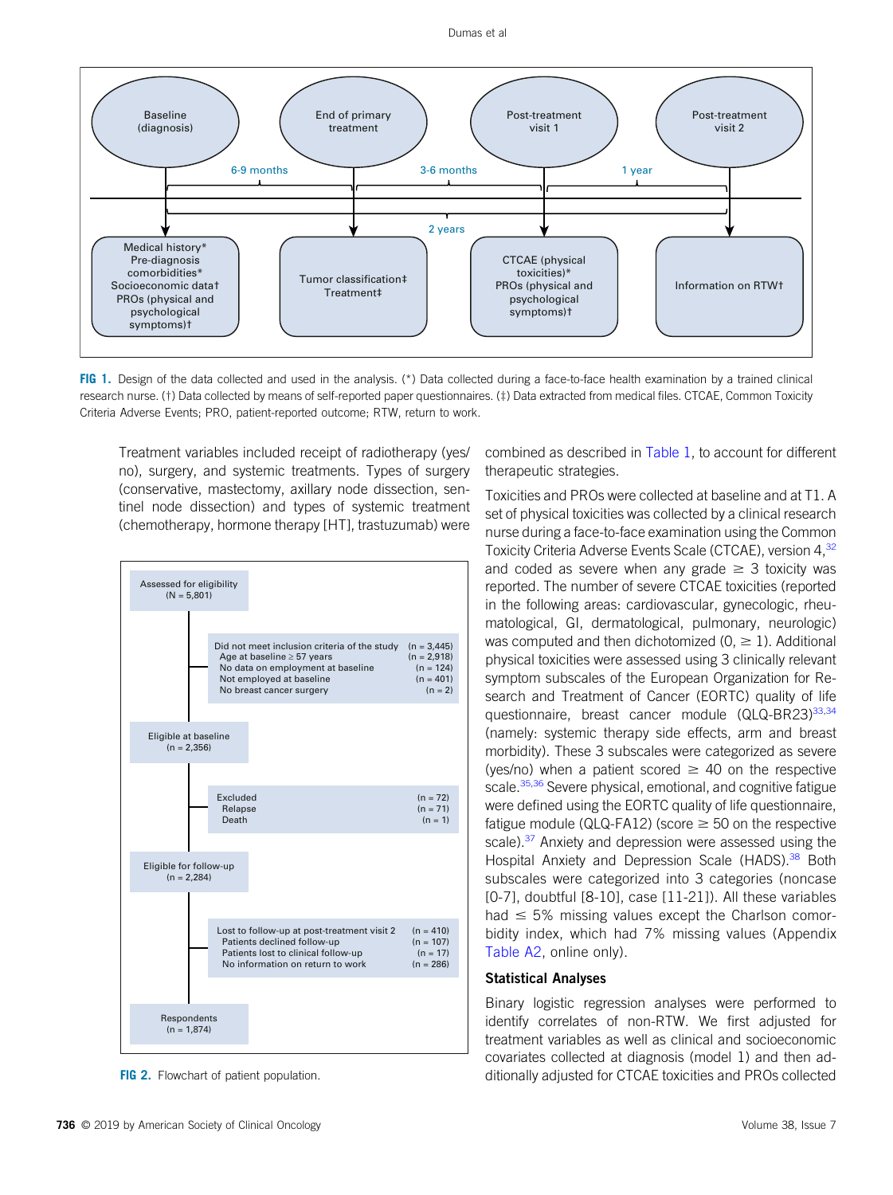

<span id="page-2-0"></span>FIG 1. Design of the data collected and used in the analysis. (\*) Data collected during a face-to-face health examination by a trained clinical research nurse. (†) Data collected by means of self-reported paper questionnaires. (‡) Data extracted from medical files. CTCAE, Common Toxicity Criteria Adverse Events; PRO, patient-reported outcome; RTW, return to work.

Treatment variables included receipt of radiotherapy (yes/ no), surgery, and systemic treatments. Types of surgery (conservative, mastectomy, axillary node dissection, sentinel node dissection) and types of systemic treatment (chemotherapy, hormone therapy [HT], trastuzumab) were



<span id="page-2-1"></span>FIG 2. Flowchart of patient population.

combined as described in [Table 1,](#page-3-0) to account for different therapeutic strategies.

Toxicities and PROs were collected at baseline and at T1. A set of physical toxicities was collected by a clinical research nurse during a face-to-face examination using the Common Toxicity Criteria Adverse Events Scale (CTCAE), version 4,<sup>32</sup> and coded as severe when any grade  $\geq$  3 toxicity was reported. The number of severe CTCAE toxicities (reported in the following areas: cardiovascular, gynecologic, rheumatological, GI, dermatological, pulmonary, neurologic) was computed and then dichotomized ( $0, \ge 1$ ). Additional physical toxicities were assessed using 3 clinically relevant symptom subscales of the European Organization for Research and Treatment of Cancer (EORTC) quality of life questionnaire, breast cancer module (QLQ-BR23)<sup>[33](#page-8-23)[,34](#page-8-24)</sup> (namely: systemic therapy side effects, arm and breast morbidity). These 3 subscales were categorized as severe (yes/no) when a patient scored  $\geq$  40 on the respective scale.<sup>[35](#page-8-25)[,36](#page-8-26)</sup> Severe physical, emotional, and cognitive fatigue were defined using the EORTC quality of life questionnaire, fatigue module (QLQ-FA12) (score  $\geq$  50 on the respective scale).<sup>[37](#page-8-27)</sup> Anxiety and depression were assessed using the Hospital Anxiety and Depression Scale (HADS).<sup>[38](#page-8-28)</sup> Both subscales were categorized into 3 categories (noncase [0-7], doubtful [8-10], case [11-21]). All these variables had  $\leq$  5% missing values except the Charlson comorbidity index, which had 7% missing values (Appendix [Table A2,](#page-13-0) online only).

### Statistical Analyses

Binary logistic regression analyses were performed to identify correlates of non-RTW. We first adjusted for treatment variables as well as clinical and socioeconomic covariates collected at diagnosis (model 1) and then additionally adjusted for CTCAE toxicities and PROs collected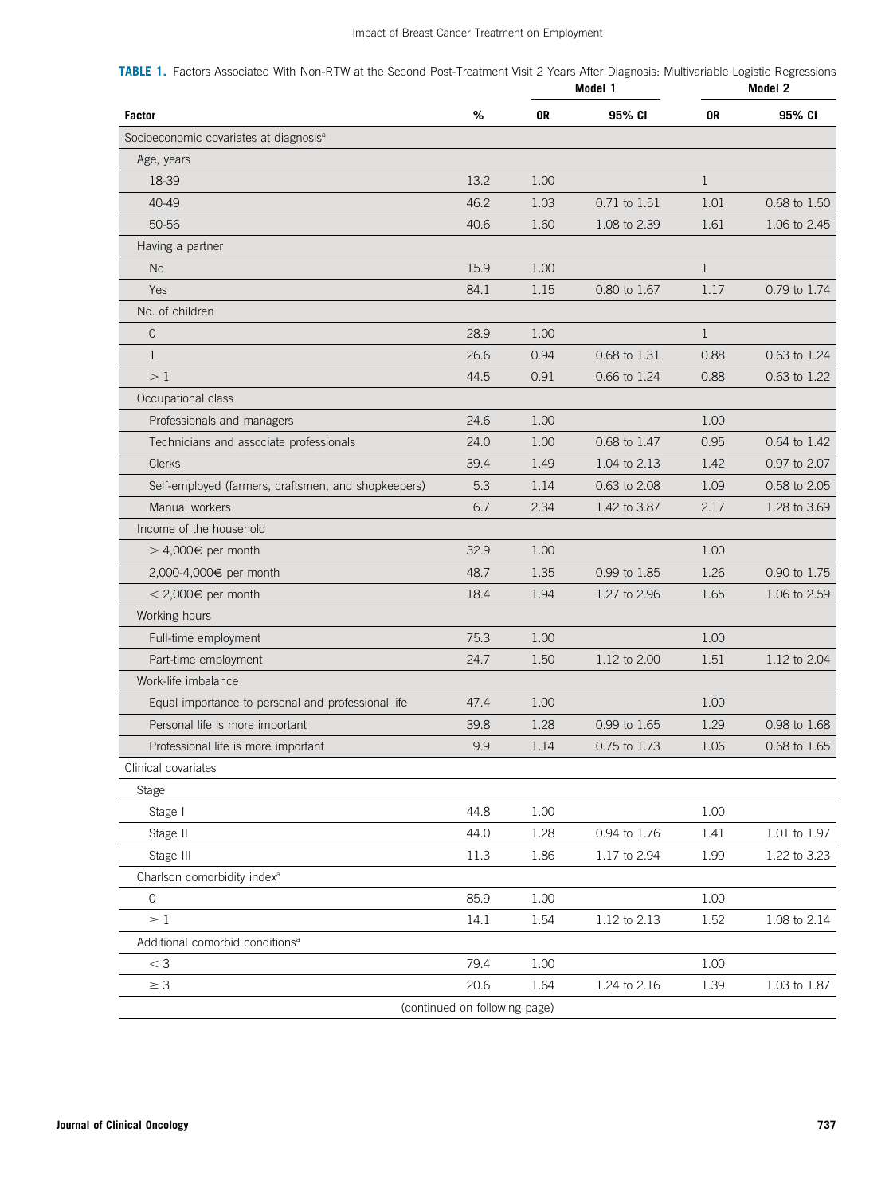<span id="page-3-0"></span>

| TABLE 1. Factors Associated With Non-RTW at the Second Post-Treatment Visit 2 Years After Diagnosis: Multivariable Logistic Regressions |         |         |
|-----------------------------------------------------------------------------------------------------------------------------------------|---------|---------|
|                                                                                                                                         | Model 1 | Model 2 |

| <b>Factor</b>                                       | %        | 0R   | 95% CI       | 0R           | 95% CI       |  |
|-----------------------------------------------------|----------|------|--------------|--------------|--------------|--|
| Socioeconomic covariates at diagnosis <sup>a</sup>  |          |      |              |              |              |  |
| Age, years                                          |          |      |              |              |              |  |
| 18-39                                               | 13.2     | 1.00 |              | $\mathbf{1}$ |              |  |
| 40-49                                               | 46.2     | 1.03 | 0.71 to 1.51 | 1.01         | 0.68 to 1.50 |  |
| 50-56                                               | 40.6     | 1.60 | 1.08 to 2.39 | 1.61         | 1.06 to 2.45 |  |
| Having a partner                                    |          |      |              |              |              |  |
| No                                                  | 15.9     | 1.00 |              | $\mathbf{1}$ |              |  |
| Yes                                                 | 84.1     | 1.15 | 0.80 to 1.67 | 1.17         | 0.79 to 1.74 |  |
| No. of children                                     |          |      |              |              |              |  |
| $\overline{0}$                                      | 28.9     | 1.00 |              | $\mathbf{1}$ |              |  |
| $\mathbf{1}$                                        | 26.6     | 0.94 | 0.68 to 1.31 | 0.88         | 0.63 to 1.24 |  |
| >1                                                  | 44.5     | 0.91 | 0.66 to 1.24 | 0.88         | 0.63 to 1.22 |  |
| Occupational class                                  |          |      |              |              |              |  |
| Professionals and managers                          | 24.6     | 1.00 |              | 1.00         |              |  |
| Technicians and associate professionals             | 24.0     | 1.00 | 0.68 to 1.47 | 0.95         | 0.64 to 1.42 |  |
| <b>Clerks</b>                                       | 39.4     | 1.49 | 1.04 to 2.13 | 1.42         | 0.97 to 2.07 |  |
| Self-employed (farmers, craftsmen, and shopkeepers) | 5.3      | 1.14 | 0.63 to 2.08 | 1.09         | 0.58 to 2.05 |  |
| Manual workers                                      | 6.7      | 2.34 | 1.42 to 3.87 | 2.17         | 1.28 to 3.69 |  |
| Income of the household                             |          |      |              |              |              |  |
| > 4,000€ per month                                  | 32.9     | 1.00 |              | 1.00         |              |  |
| 2,000-4,000€ per month                              | 48.7     | 1.35 | 0.99 to 1.85 | 1.26         | 0.90 to 1.75 |  |
| < 2,000€ per month                                  | 18.4     | 1.94 | 1.27 to 2.96 | 1.65         | 1.06 to 2.59 |  |
| Working hours                                       |          |      |              |              |              |  |
| Full-time employment                                | 75.3     | 1.00 |              | 1.00         |              |  |
| Part-time employment                                | 24.7     | 1.50 | 1.12 to 2.00 | 1.51         | 1.12 to 2.04 |  |
| Work-life imbalance                                 |          |      |              |              |              |  |
| Equal importance to personal and professional life  | 47.4     | 1.00 |              | 1.00         |              |  |
| Personal life is more important                     | 39.8     | 1.28 | 0.99 to 1.65 | 1.29         | 0.98 to 1.68 |  |
| Professional life is more important                 | 9.9      | 1.14 | 0.75 to 1.73 | 1.06         | 0.68 to 1.65 |  |
| Clinical covariates                                 |          |      |              |              |              |  |
| Stage                                               |          |      |              |              |              |  |
| Stage I                                             | 44.8     | 1.00 |              | 1.00         |              |  |
| Stage II                                            | 44.0     | 1.28 | 0.94 to 1.76 | 1.41         | 1.01 to 1.97 |  |
| Stage III                                           | $11.3\,$ | 1.86 | 1.17 to 2.94 | 1.99         | 1.22 to 3.23 |  |
| Charlson comorbidity index <sup>a</sup>             |          |      |              |              |              |  |
| $\circ$                                             | 85.9     | 1.00 |              | 1.00         |              |  |
| $\geq 1$                                            | 14.1     | 1.54 | 1.12 to 2.13 | 1.52         | 1.08 to 2.14 |  |
| Additional comorbid conditions <sup>a</sup>         |          |      |              |              |              |  |
| $<$ 3                                               | 79.4     | 1.00 |              | 1.00         |              |  |
|                                                     |          |      |              |              |              |  |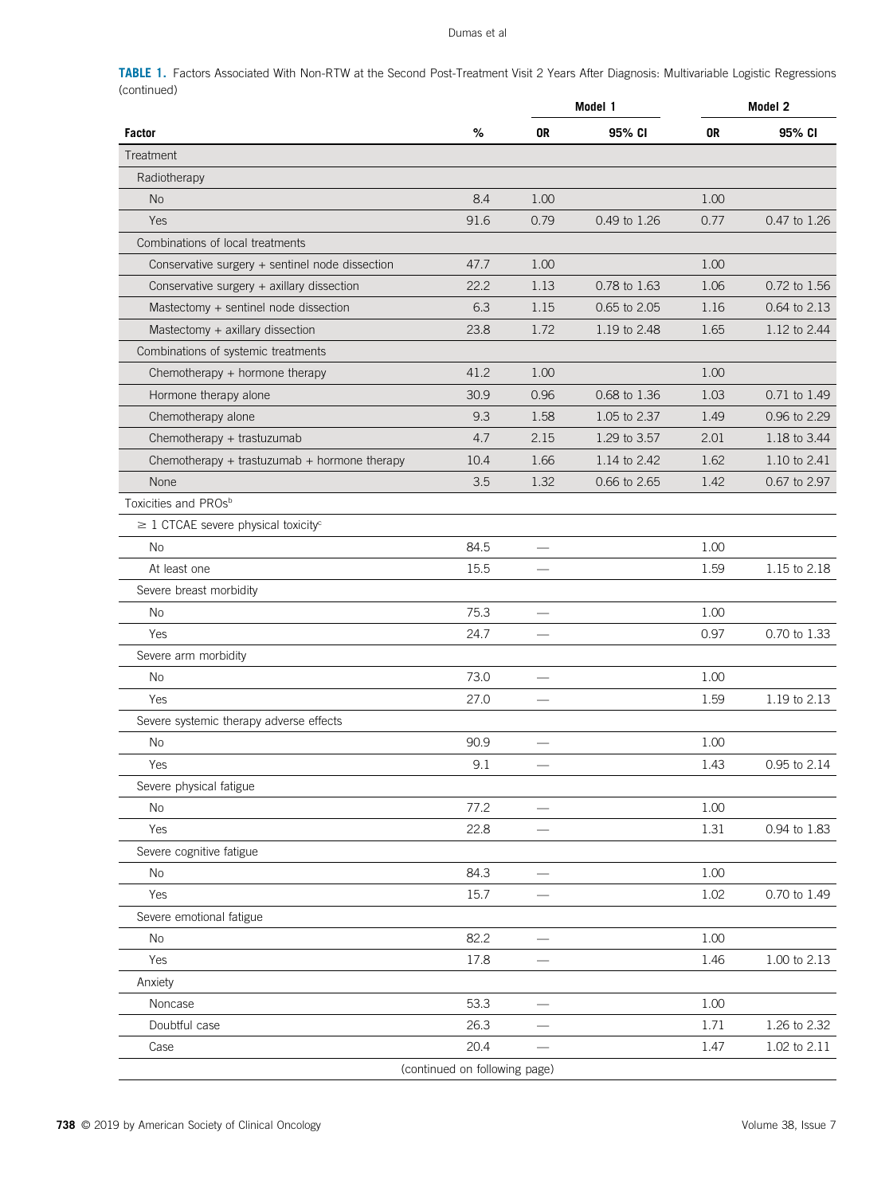TABLE 1. Factors Associated With Non-RTW at the Second Post-Treatment Visit 2 Years After Diagnosis: Multivariable Logistic Regressions (continued)

|                                                      |                               |                          | Model 1      | Model 2 |              |  |
|------------------------------------------------------|-------------------------------|--------------------------|--------------|---------|--------------|--|
| <b>Factor</b>                                        | %                             | 0R                       | 95% CI       | 0R      | 95% CI       |  |
| Treatment                                            |                               |                          |              |         |              |  |
| Radiotherapy                                         |                               |                          |              |         |              |  |
| <b>No</b>                                            | 8.4                           | 1.00                     |              | 1.00    |              |  |
| Yes                                                  | 91.6                          | 0.79                     | 0.49 to 1.26 | 0.77    | 0.47 to 1.26 |  |
| Combinations of local treatments                     |                               |                          |              |         |              |  |
| Conservative surgery + sentinel node dissection      | 47.7                          | 1.00                     |              | 1.00    |              |  |
| Conservative surgery + axillary dissection           | 22.2                          | 1.13                     | 0.78 to 1.63 | 1.06    | 0.72 to 1.56 |  |
| Mastectomy + sentinel node dissection                | 6.3                           | 1.15                     | 0.65 to 2.05 | 1.16    | 0.64 to 2.13 |  |
| Mastectomy + axillary dissection                     | 23.8                          | 1.72                     | 1.19 to 2.48 | 1.65    | 1.12 to 2.44 |  |
| Combinations of systemic treatments                  |                               |                          |              |         |              |  |
| Chemotherapy + hormone therapy                       | 41.2                          | 1.00                     |              | 1.00    |              |  |
| Hormone therapy alone                                | 30.9                          | 0.96                     | 0.68 to 1.36 | 1.03    | 0.71 to 1.49 |  |
| Chemotherapy alone                                   | 9.3                           | 1.58                     | 1.05 to 2.37 | 1.49    | 0.96 to 2.29 |  |
| Chemotherapy + trastuzumab                           | 4.7                           | 2.15                     | 1.29 to 3.57 | 2.01    | 1.18 to 3.44 |  |
| Chemotherapy + trastuzumab + hormone therapy         | 10.4                          | 1.66                     | 1.14 to 2.42 | 1.62    | 1.10 to 2.41 |  |
| None                                                 | 3.5                           | 1.32                     | 0.66 to 2.65 | 1.42    | 0.67 to 2.97 |  |
| Toxicities and PROs <sup>b</sup>                     |                               |                          |              |         |              |  |
| $\geq$ 1 CTCAE severe physical toxicity <sup>c</sup> |                               |                          |              |         |              |  |
| <b>No</b>                                            | 84.5                          |                          |              | 1.00    |              |  |
| At least one                                         | 15.5                          |                          |              | 1.59    | 1.15 to 2.18 |  |
| Severe breast morbidity                              |                               |                          |              |         |              |  |
| No                                                   | 75.3                          |                          |              | 1.00    |              |  |
| Yes                                                  | 24.7                          |                          |              | 0.97    | 0.70 to 1.33 |  |
| Severe arm morbidity                                 |                               |                          |              |         |              |  |
| No                                                   | 73.0                          |                          |              | 1.00    |              |  |
| Yes                                                  | 27.0                          |                          |              | 1.59    | 1.19 to 2.13 |  |
| Severe systemic therapy adverse effects              |                               |                          |              |         |              |  |
| No                                                   | 90.9                          |                          |              | 1.00    |              |  |
| Yes                                                  | 9.1                           |                          |              | 1.43    | 0.95 to 2.14 |  |
| Severe physical fatigue                              |                               |                          |              |         |              |  |
| No                                                   | 77.2                          | —<br>—                   |              | 1.00    |              |  |
| Yes                                                  | 22.8                          |                          |              | 1.31    | 0.94 to 1.83 |  |
| Severe cognitive fatigue                             |                               |                          |              |         |              |  |
| No                                                   | 84.3                          |                          |              | 1.00    |              |  |
| Yes                                                  | 15.7                          | $\overline{\phantom{0}}$ |              | 1.02    | 0.70 to 1.49 |  |
| Severe emotional fatigue                             |                               |                          |              |         |              |  |
| No                                                   | 82.2                          | $\overline{\phantom{m}}$ |              | 1.00    |              |  |
| Yes                                                  | 17.8                          |                          |              | 1.46    | 1.00 to 2.13 |  |
| Anxiety                                              |                               |                          |              |         |              |  |
| Noncase                                              | 53.3                          |                          |              | 1.00    |              |  |
| Doubtful case                                        | 26.3                          |                          |              | 1.71    | 1.26 to 2.32 |  |
| Case                                                 | 20.4                          |                          |              | 1.47    | 1.02 to 2.11 |  |
|                                                      | (continued on following page) |                          |              |         |              |  |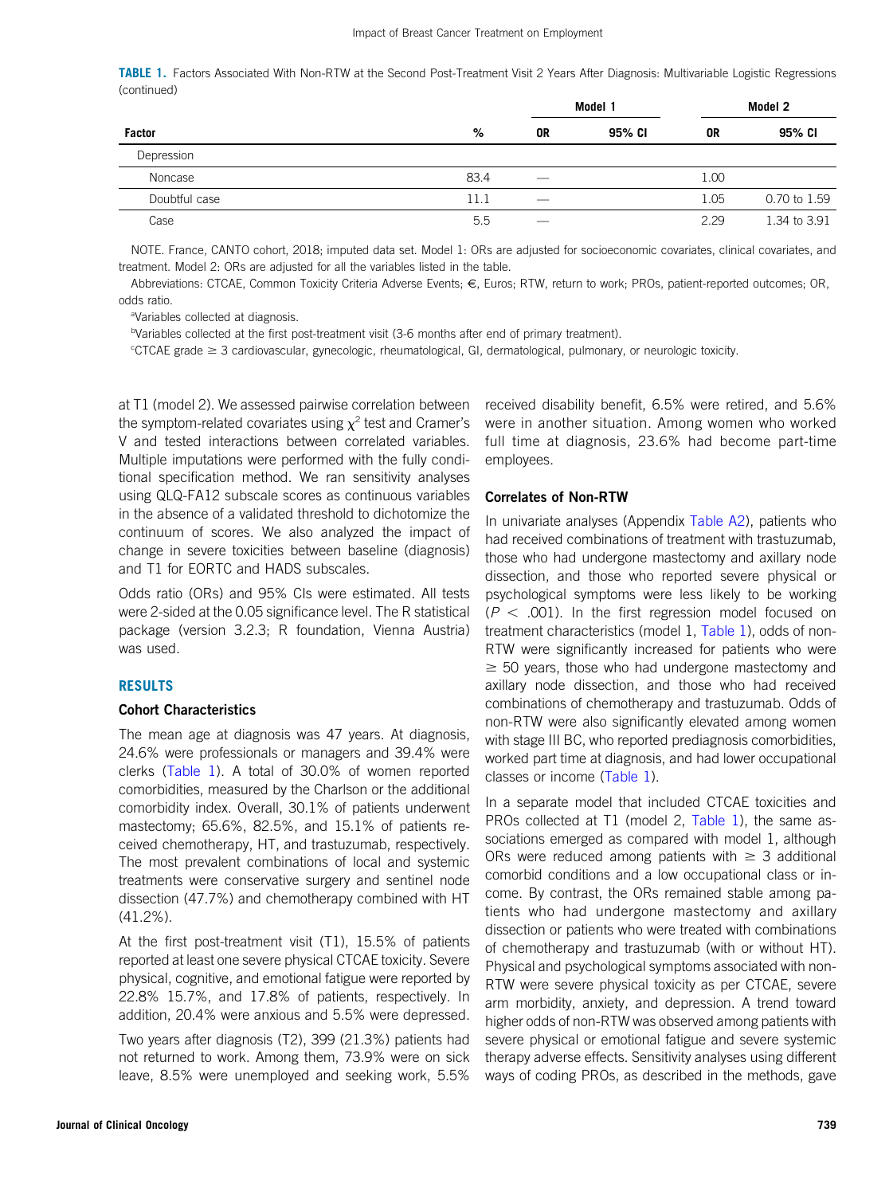TABLE 1. Factors Associated With Non-RTW at the Second Post-Treatment Visit 2 Years After Diagnosis: Multivariable Logistic Regressions (continued)

|               |      |                          | Model 1 |      | Model 2      |
|---------------|------|--------------------------|---------|------|--------------|
| <b>Factor</b> | %    | 0R                       | 95% CI  | 0R   | 95% CI       |
| Depression    |      |                          |         |      |              |
| Noncase       | 83.4 | $\hspace{0.05cm}$        |         | 1.00 |              |
| Doubtful case | 11.1 | $\overline{\phantom{0}}$ |         | 1.05 | 0.70 to 1.59 |
| Case          | 5.5  |                          |         | 2.29 | 1.34 to 3.91 |

NOTE. France, CANTO cohort, 2018; imputed data set. Model 1: ORs are adjusted for socioeconomic covariates, clinical covariates, and treatment. Model 2: ORs are adjusted for all the variables listed in the table.

Abbreviations: CTCAE, Common Toxicity Criteria Adverse Events; €, Euros; RTW, return to work; PROs, patient-reported outcomes; OR, odds ratio.

<sup>a</sup>Variables collected at diagnosis.

bVariables collected at the first post-treatment visit (3-6 months after end of primary treatment).

<sup>e</sup>CTCAE grade ≥ 3 cardiovascular, gynecologic, rheumatological, GI, dermatological, pulmonary, or neurologic toxicity.

at T1 (model 2). We assessed pairwise correlation between the symptom-related covariates using  $x^2$  test and Cramer's V and tested interactions between correlated variables. Multiple imputations were performed with the fully conditional specification method. We ran sensitivity analyses using QLQ-FA12 subscale scores as continuous variables in the absence of a validated threshold to dichotomize the continuum of scores. We also analyzed the impact of change in severe toxicities between baseline (diagnosis) and T1 for EORTC and HADS subscales.

Odds ratio (ORs) and 95% CIs were estimated. All tests were 2-sided at the 0.05 significance level. The R statistical package (version 3.2.3; R foundation, Vienna Austria) was used.

#### RESULTS

#### Cohort Characteristics

The mean age at diagnosis was 47 years. At diagnosis, 24.6% were professionals or managers and 39.4% were clerks [\(Table 1\)](#page-3-0). A total of 30.0% of women reported comorbidities, measured by the Charlson or the additional comorbidity index. Overall, 30.1% of patients underwent mastectomy; 65.6%, 82.5%, and 15.1% of patients received chemotherapy, HT, and trastuzumab, respectively. The most prevalent combinations of local and systemic treatments were conservative surgery and sentinel node dissection (47.7%) and chemotherapy combined with HT (41.2%).

At the first post-treatment visit (T1), 15.5% of patients reported at least one severe physical CTCAE toxicity. Severe physical, cognitive, and emotional fatigue were reported by 22.8% 15.7%, and 17.8% of patients, respectively. In addition, 20.4% were anxious and 5.5% were depressed.

Two years after diagnosis (T2), 399 (21.3%) patients had not returned to work. Among them, 73.9% were on sick leave, 8.5% were unemployed and seeking work, 5.5%

received disability benefit, 6.5% were retired, and 5.6% were in another situation. Among women who worked full time at diagnosis, 23.6% had become part-time employees.

## Correlates of Non-RTW

In univariate analyses (Appendix [Table A2](#page-13-0)), patients who had received combinations of treatment with trastuzumab, those who had undergone mastectomy and axillary node dissection, and those who reported severe physical or psychological symptoms were less likely to be working  $(P < .001)$ . In the first regression model focused on treatment characteristics (model 1, [Table 1](#page-3-0)), odds of non-RTW were significantly increased for patients who were  $\geq$  50 years, those who had undergone mastectomy and axillary node dissection, and those who had received combinations of chemotherapy and trastuzumab. Odds of non-RTW were also significantly elevated among women with stage III BC, who reported prediagnosis comorbidities, worked part time at diagnosis, and had lower occupational classes or income [\(Table 1\)](#page-3-0).

In a separate model that included CTCAE toxicities and PROs collected at T1 (model 2, [Table 1](#page-3-0)), the same associations emerged as compared with model 1, although ORs were reduced among patients with  $\geq 3$  additional comorbid conditions and a low occupational class or income. By contrast, the ORs remained stable among patients who had undergone mastectomy and axillary dissection or patients who were treated with combinations of chemotherapy and trastuzumab (with or without HT). Physical and psychological symptoms associated with non-RTW were severe physical toxicity as per CTCAE, severe arm morbidity, anxiety, and depression. A trend toward higher odds of non-RTW was observed among patients with severe physical or emotional fatigue and severe systemic therapy adverse effects. Sensitivity analyses using different ways of coding PROs, as described in the methods, gave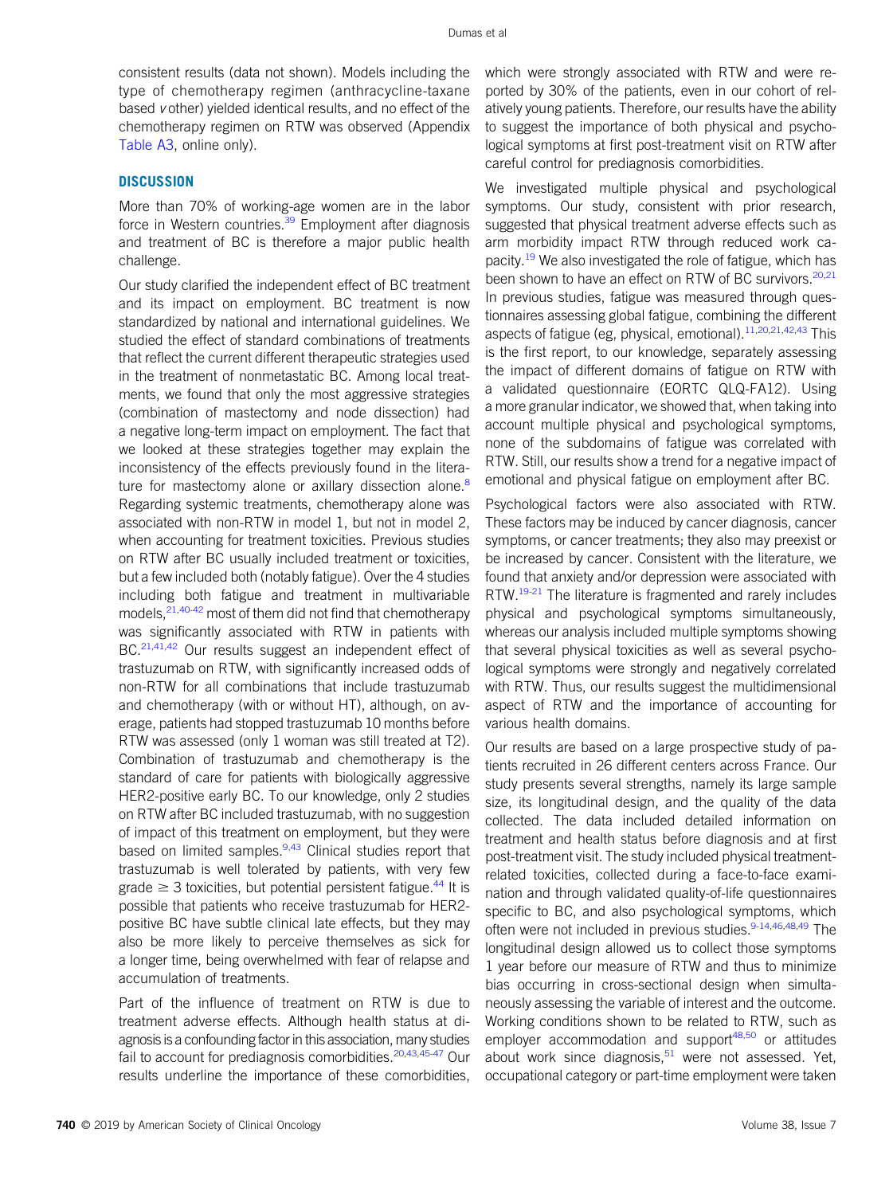consistent results (data not shown). Models including the type of chemotherapy regimen (anthracycline-taxane based v other) yielded identical results, and no effect of the chemotherapy regimen on RTW was observed (Appendix [Table A3,](#page-16-0) online only).

# **DISCUSSION**

More than 70% of working-age women are in the labor force in Western countries. $39$  Employment after diagnosis and treatment of BC is therefore a major public health challenge.

Our study clarified the independent effect of BC treatment and its impact on employment. BC treatment is now standardized by national and international guidelines. We studied the effect of standard combinations of treatments that reflect the current different therapeutic strategies used in the treatment of nonmetastatic BC. Among local treatments, we found that only the most aggressive strategies (combination of mastectomy and node dissection) had a negative long-term impact on employment. The fact that we looked at these strategies together may explain the inconsistency of the effects previously found in the literature for mastectomy alone or axillary dissection alone.<sup>8</sup> Regarding systemic treatments, chemotherapy alone was associated with non-RTW in model 1, but not in model 2, when accounting for treatment toxicities. Previous studies on RTW after BC usually included treatment or toxicities, but a few included both (notably fatigue). Over the 4 studies including both fatigue and treatment in multivariable models, <sup>[21,](#page-8-11)[40](#page-8-30)[-42](#page-8-31)</sup> most of them did not find that chemotherapy was significantly associated with RTW in patients with BC.<sup>[21](#page-8-11),[41](#page-8-32)[,42](#page-8-31)</sup> Our results suggest an independent effect of trastuzumab on RTW, with significantly increased odds of non-RTW for all combinations that include trastuzumab and chemotherapy (with or without HT), although, on average, patients had stopped trastuzumab 10 months before RTW was assessed (only 1 woman was still treated at T2). Combination of trastuzumab and chemotherapy is the standard of care for patients with biologically aggressive HER2-positive early BC. To our knowledge, only 2 studies on RTW after BC included trastuzumab, with no suggestion of impact of this treatment on employment, but they were based on limited samples.<sup>[9](#page-8-1)[,43](#page-9-0)</sup> Clinical studies report that trastuzumab is well tolerated by patients, with very few grade  $\geq 3$  toxicities, but potential persistent fatigue.<sup>[44](#page-9-1)</sup> It is possible that patients who receive trastuzumab for HER2 positive BC have subtle clinical late effects, but they may also be more likely to perceive themselves as sick for a longer time, being overwhelmed with fear of relapse and accumulation of treatments.

Part of the influence of treatment on RTW is due to treatment adverse effects. Although health status at diagnosis is a confounding factor in this association, many studies fail to account for prediagnosis comorbidities.<sup>[20](#page-8-10)[,43](#page-9-0),[45-](#page-9-2)[47](#page-9-3)</sup> Our results underline the importance of these comorbidities, which were strongly associated with RTW and were reported by 30% of the patients, even in our cohort of relatively young patients. Therefore, our results have the ability to suggest the importance of both physical and psychological symptoms at first post-treatment visit on RTW after careful control for prediagnosis comorbidities.

We investigated multiple physical and psychological symptoms. Our study, consistent with prior research, suggested that physical treatment adverse effects such as arm morbidity impact RTW through reduced work ca-pacity.<sup>[19](#page-8-9)</sup> We also investigated the role of fatigue, which has been shown to have an effect on RTW of BC survivors.  $20,21$  $20,21$ In previous studies, fatigue was measured through questionnaires assessing global fatigue, combining the different aspects of fatigue (eg, physical, emotional).<sup>[11,](#page-8-4)[20](#page-8-10)[,21,](#page-8-11)[42](#page-8-31)[,43](#page-9-0)</sup> This is the first report, to our knowledge, separately assessing the impact of different domains of fatigue on RTW with a validated questionnaire (EORTC QLQ-FA12). Using a more granular indicator, we showed that, when taking into account multiple physical and psychological symptoms, none of the subdomains of fatigue was correlated with RTW. Still, our results show a trend for a negative impact of emotional and physical fatigue on employment after BC.

Psychological factors were also associated with RTW. These factors may be induced by cancer diagnosis, cancer symptoms, or cancer treatments; they also may preexist or be increased by cancer. Consistent with the literature, we found that anxiety and/or depression were associated with RTW.<sup>[19-](#page-8-9)[21](#page-8-11)</sup> The literature is fragmented and rarely includes physical and psychological symptoms simultaneously, whereas our analysis included multiple symptoms showing that several physical toxicities as well as several psychological symptoms were strongly and negatively correlated with RTW. Thus, our results suggest the multidimensional aspect of RTW and the importance of accounting for various health domains.

Our results are based on a large prospective study of patients recruited in 26 different centers across France. Our study presents several strengths, namely its large sample size, its longitudinal design, and the quality of the data collected. The data included detailed information on treatment and health status before diagnosis and at first post-treatment visit. The study included physical treatmentrelated toxicities, collected during a face-to-face examination and through validated quality-of-life questionnaires specific to BC, and also psychological symptoms, which often were not included in previous studies.<sup>9[-14](#page-8-6)[,46,](#page-9-4)[48](#page-9-5)[,49](#page-9-6)</sup> The longitudinal design allowed us to collect those symptoms 1 year before our measure of RTW and thus to minimize bias occurring in cross-sectional design when simultaneously assessing the variable of interest and the outcome. Working conditions shown to be related to RTW, such as employer accommodation and support<sup>[48,](#page-9-5)[50](#page-9-7)</sup> or attitudes about work since diagnosis, $51$  were not assessed. Yet, occupational category or part-time employment were taken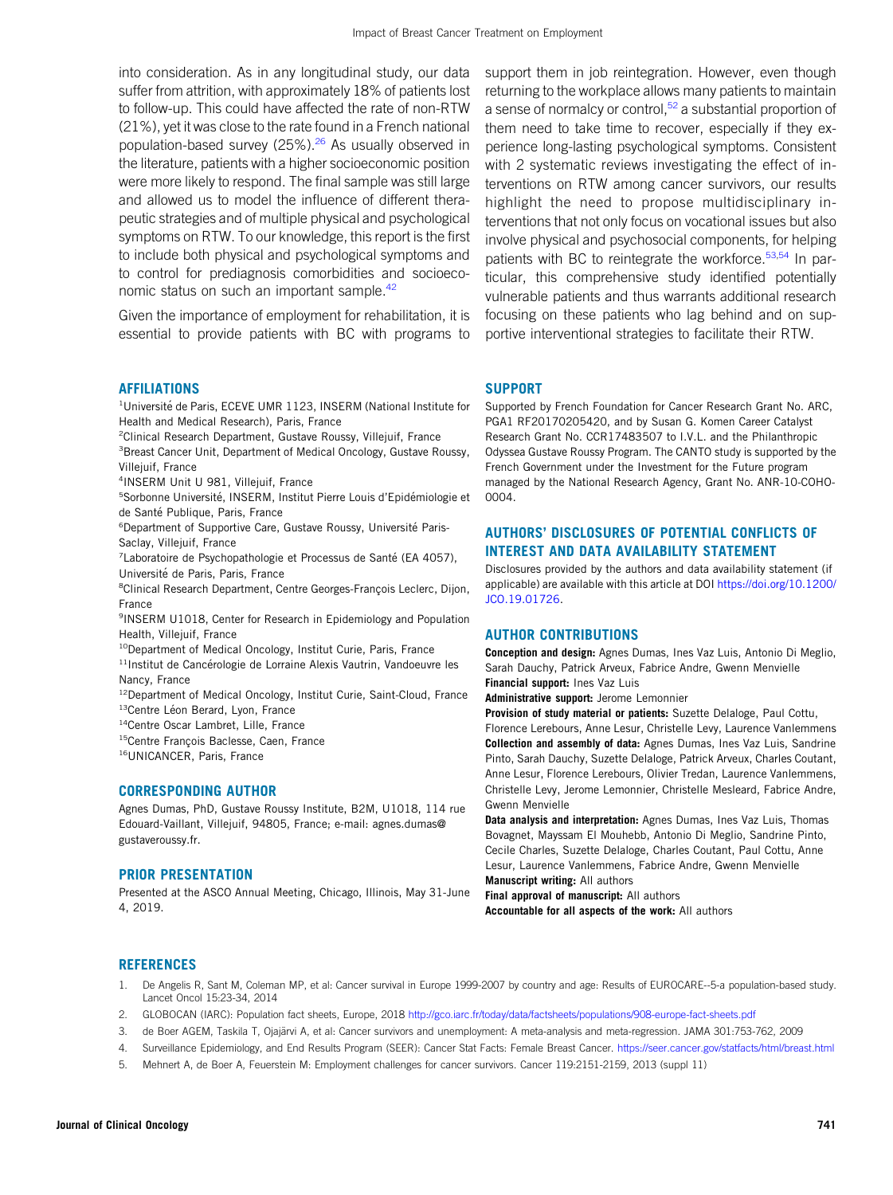into consideration. As in any longitudinal study, our data suffer from attrition, with approximately 18% of patients lost to follow-up. This could have affected the rate of non-RTW (21%), yet it was close to the rate found in a French national population-based survey (25%).<sup>[26](#page-8-16)</sup> As usually observed in the literature, patients with a higher socioeconomic position were more likely to respond. The final sample was still large and allowed us to model the influence of different therapeutic strategies and of multiple physical and psychological symptoms on RTW. To our knowledge, this report is the first to include both physical and psychological symptoms and to control for prediagnosis comorbidities and socioeco-nomic status on such an important sample.<sup>[42](#page-8-31)</sup>

Given the importance of employment for rehabilitation, it is essential to provide patients with BC with programs to

#### AFFILIATIONS

<sup>1</sup>Université de Paris, ECEVE UMR 1123, INSERM (National Institute for Health and Medical Research), Paris, France

2 Clinical Research Department, Gustave Roussy, Villejuif, France

<sup>3</sup> Breast Cancer Unit, Department of Medical Oncology, Gustave Roussy, Villeiuif, France

4 INSERM Unit U 981, Villejuif, France

<sup>5</sup>Sorbonne Université, INSERM, Institut Pierre Louis d'Epidémiologie et de Santé Publique, Paris, France

<sup>6</sup>Department of Supportive Care, Gustave Roussy, Université Paris-Saclay, Villejuif, France

<sup>7</sup> Laboratoire de Psychopathologie et Processus de Santé (EA 4057), Université de Paris, Paris, France

<sup>8</sup>Clinical Research Department, Centre Georges-François Leclerc, Dijon, France

9 INSERM U1018, Center for Research in Epidemiology and Population Health, Villejuif, France

<sup>10</sup>Department of Medical Oncology, Institut Curie, Paris, France

 $11$ Institut de Cancérologie de Lorraine Alexis Vautrin, Vandoeuvre les Nancy, France

<sup>12</sup>Department of Medical Oncology, Institut Curie, Saint-Cloud, France <sup>13</sup>Centre Léon Berard, Lyon, France

<sup>14</sup>Centre Oscar Lambret, Lille, France

<sup>15</sup>Centre François Baclesse, Caen, France

16UNICANCER, Paris, France

#### CORRESPONDING AUTHOR

Agnes Dumas, PhD, Gustave Roussy Institute, B2M, U1018, 114 rue Edouard-Vaillant, Villejuif, 94805, France; e-mail: agnes.dumas@ gustaveroussy.fr.

#### PRIOR PRESENTATION

Presented at the ASCO Annual Meeting, Chicago, Illinois, May 31-June 4, 2019.

support them in job reintegration. However, even though returning to the workplace allows many patients to maintain a sense of normalcy or control, $52$  a substantial proportion of them need to take time to recover, especially if they experience long-lasting psychological symptoms. Consistent with 2 systematic reviews investigating the effect of interventions on RTW among cancer survivors, our results highlight the need to propose multidisciplinary interventions that not only focus on vocational issues but also involve physical and psychosocial components, for helping patients with BC to reintegrate the workforce.<sup>[53,](#page-9-10)[54](#page-9-11)</sup> In particular, this comprehensive study identified potentially vulnerable patients and thus warrants additional research focusing on these patients who lag behind and on supportive interventional strategies to facilitate their RTW.

#### SUPPORT

Supported by French Foundation for Cancer Research Grant No. ARC, PGA1 RF20170205420, and by Susan G. Komen Career Catalyst Research Grant No. CCR17483507 to I.V.L. and the Philanthropic Odyssea Gustave Roussy Program. The CANTO study is supported by the French Government under the Investment for the Future program managed by the National Research Agency, Grant No. ANR-10-COHO-0004.

# AUTHORS' DISCLOSURES OF POTENTIAL CONFLICTS OF INTEREST AND DATA AVAILABILITY STATEMENT

Disclosures provided by the authors and data availability statement (if applicable) are available with this article at DOI [https://doi.org/10.1200/](https://ascopubs.org/doi/full/10.1200/JCO.19.01726) [JCO.19.01726.](https://ascopubs.org/doi/full/10.1200/JCO.19.01726)

#### AUTHOR CONTRIBUTIONS

Conception and design: Agnes Dumas, Ines Vaz Luis, Antonio Di Meglio, Sarah Dauchy, Patrick Arveux, Fabrice Andre, Gwenn Menvielle Financial support: Ines Vaz Luis

Administrative support: Jerome Lemonnier

Provision of study material or patients: Suzette Delaloge, Paul Cottu, Florence Lerebours, Anne Lesur, Christelle Levy, Laurence Vanlemmens Collection and assembly of data: Agnes Dumas, Ines Vaz Luis, Sandrine Pinto, Sarah Dauchy, Suzette Delaloge, Patrick Arveux, Charles Coutant, Anne Lesur, Florence Lerebours, Olivier Tredan, Laurence Vanlemmens, Christelle Levy, Jerome Lemonnier, Christelle Mesleard, Fabrice Andre, Gwenn Menvielle

Data analysis and interpretation: Agnes Dumas, Ines Vaz Luis, Thomas Bovagnet, Mayssam El Mouhebb, Antonio Di Meglio, Sandrine Pinto, Cecile Charles, Suzette Delaloge, Charles Coutant, Paul Cottu, Anne Lesur, Laurence Vanlemmens, Fabrice Andre, Gwenn Menvielle Manuscript writing: All authors

Final approval of manuscript: All authors

Accountable for all aspects of the work: All authors

#### **REFERENCES**

- <span id="page-7-0"></span>1. De Angelis R, Sant M, Coleman MP, et al: Cancer survival in Europe 1999-2007 by country and age: Results of EUROCARE--5-a population-based study. Lancet Oncol 15:23-34, 2014
- <span id="page-7-1"></span>2. GLOBOCAN (IARC): Population fact sheets, Europe, 2018 <http://gco.iarc.fr/today/data/factsheets/populations/908-europe-fact-sheets.pdf>
- <span id="page-7-2"></span>3. de Boer AGEM, Taskila T, Ojajarvi A, et al: Cancer survivors and unemployment: A meta-analysis and meta-regression. JAMA 301:753-762, 2009 ¨
- <span id="page-7-3"></span>4. Surveillance Epidemiology, and End Results Program (SEER): Cancer Stat Facts: Female Breast Cancer. <https://seer.cancer.gov/statfacts/html/breast.html>
- <span id="page-7-4"></span>5. Mehnert A, de Boer A, Feuerstein M: Employment challenges for cancer survivors. Cancer 119:2151-2159, 2013 (suppl 11)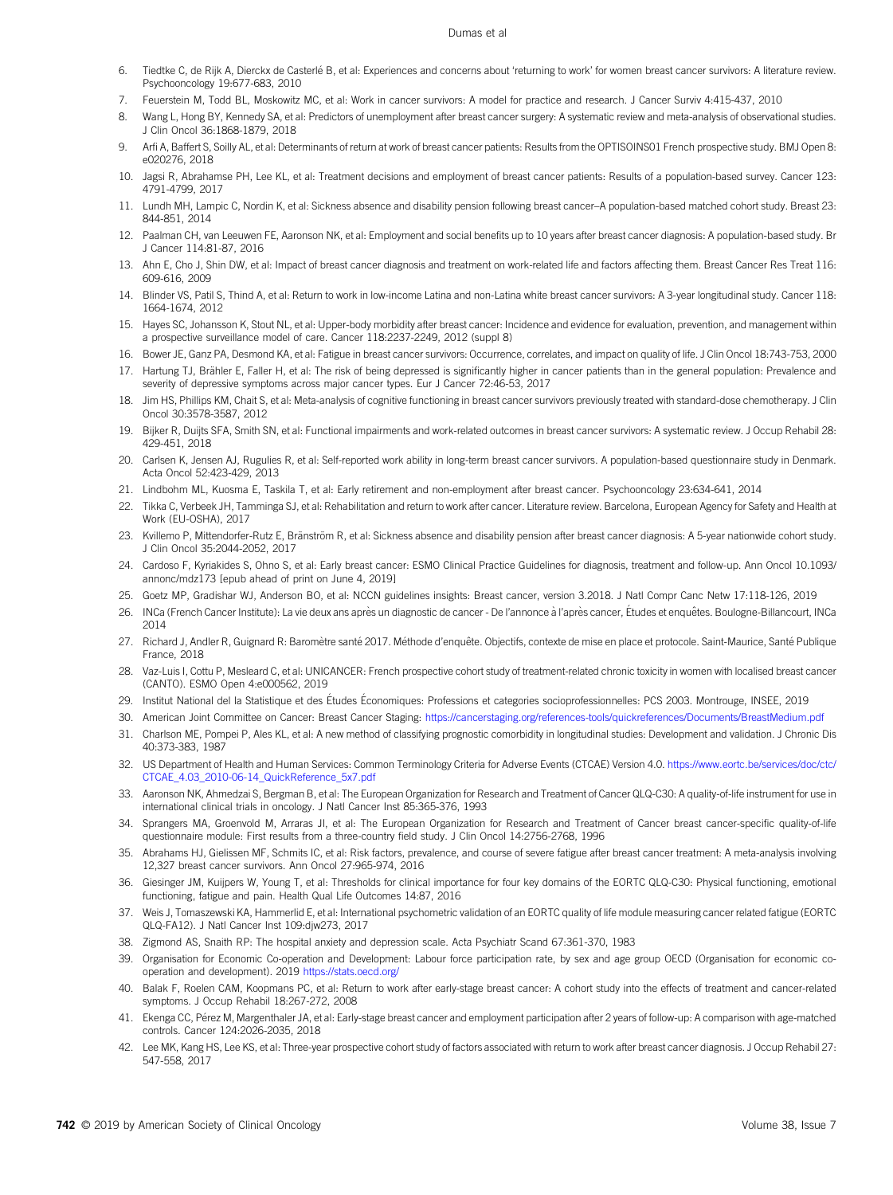- 6. Tiedtke C, de Rijk A, Dierckx de Casterlé B, et al: Experiences and concerns about 'returning to work' for women breast cancer survivors: A literature review. Psychooncology 19:677-683, 2010
- 7. Feuerstein M, Todd BL, Moskowitz MC, et al: Work in cancer survivors: A model for practice and research. J Cancer Surviv 4:415-437, 2010
- <span id="page-8-0"></span>8. Wang L, Hong BY, Kennedy SA, et al: Predictors of unemployment after breast cancer surgery: A systematic review and meta-analysis of observational studies. J Clin Oncol 36:1868-1879, 2018
- <span id="page-8-1"></span>9. Arfi A, Baffert S, Soilly AL, et al: Determinants of return at work of breast cancer patients: Results from the OPTISOINS01 French prospective study. BMJ Open 8: e020276, 2018
- <span id="page-8-3"></span>10. Jagsi R, Abrahamse PH, Lee KL, et al: Treatment decisions and employment of breast cancer patients: Results of a population-based survey. Cancer 123: 4791-4799, 2017
- <span id="page-8-4"></span>11. Lundh MH, Lampic C, Nordin K, et al: Sickness absence and disability pension following breast cancer–A population-based matched cohort study. Breast 23: 844-851, 2014
- <span id="page-8-2"></span>12. Paalman CH, van Leeuwen FE, Aaronson NK, et al: Employment and social benefits up to 10 years after breast cancer diagnosis: A population-based study. Br J Cancer 114:81-87, 2016
- <span id="page-8-5"></span>13. Ahn E, Cho J, Shin DW, et al: Impact of breast cancer diagnosis and treatment on work-related life and factors affecting them. Breast Cancer Res Treat 116: 609-616, 2009
- <span id="page-8-6"></span>14. Blinder VS, Patil S, Thind A, et al: Return to work in low-income Latina and non-Latina white breast cancer survivors: A 3-year longitudinal study. Cancer 118: 1664-1674, 2012
- <span id="page-8-7"></span>15. Hayes SC, Johansson K, Stout NL, et al: Upper-body morbidity after breast cancer: Incidence and evidence for evaluation, prevention, and management within a prospective surveillance model of care. Cancer 118:2237-2249, 2012 (suppl 8)
- 16. Bower JE, Ganz PA, Desmond KA, et al: Fatigue in breast cancer survivors: Occurrence, correlates, and impact on quality of life. J Clin Oncol 18:743-753, 2000
- 17. Hartung TJ, Brähler E, Faller H, et al: The risk of being depressed is significantly higher in cancer patients than in the general population: Prevalence and severity of depressive symptoms across major cancer types. Eur J Cancer 72:46-53, 2017
- <span id="page-8-8"></span>18. Jim HS, Phillips KM, Chait S, et al: Meta-analysis of cognitive functioning in breast cancer survivors previously treated with standard-dose chemotherapy. J Clin Oncol 30:3578-3587, 2012
- <span id="page-8-9"></span>19. Bijker R, Duijts SFA, Smith SN, et al: Functional impairments and work-related outcomes in breast cancer survivors: A systematic review. J Occup Rehabil 28: 429-451, 2018
- <span id="page-8-10"></span>20. Carlsen K, Jensen AJ, Rugulies R, et al: Self-reported work ability in long-term breast cancer survivors. A population-based questionnaire study in Denmark. Acta Oncol 52:423-429, 2013
- <span id="page-8-11"></span>21. Lindbohm ML, Kuosma E, Taskila T, et al: Early retirement and non-employment after breast cancer. Psychooncology 23:634-641, 2014
- <span id="page-8-12"></span>22. Tikka C, Verbeek JH, Tamminga SJ, et al: Rehabilitation and return to work after cancer. Literature review. Barcelona, European Agency for Safety and Health at Work (EU-OSHA), 2017
- <span id="page-8-13"></span>23. Kvillemo P, Mittendorfer-Rutz E, Bränström R, et al: Sickness absence and disability pension after breast cancer diagnosis: A 5-year nationwide cohort study. J Clin Oncol 35:2044-2052, 2017
- <span id="page-8-14"></span>24. Cardoso F, Kyriakides S, Ohno S, et al: Early breast cancer: ESMO Clinical Practice Guidelines for diagnosis, treatment and follow-up. Ann Oncol 10.1093/ annonc/mdz173 [epub ahead of print on June 4, 2019]
- <span id="page-8-15"></span>25. Goetz MP, Gradishar WJ, Anderson BO, et al: NCCN guidelines insights: Breast cancer, version 3.2018. J Natl Compr Canc Netw 17:118-126, 2019
- <span id="page-8-16"></span>.<br>26. INCa (French Cancer Institute): La vie deux ans après un diagnostic de cancer - De l'annonce à l'après cancer, Études et enquêtes. Boulogne-Billancourt, INCa 2014
- <span id="page-8-17"></span>27. Richard J, Andler R, Guignard R: Baromètre santé 2017. Méthode d'enquête. Objectifs, contexte de mise en place et protocole. Saint-Maurice, Santé Publique France, 2018
- <span id="page-8-18"></span>28. Vaz-Luis I, Cottu P, Mesleard C, et al: UNICANCER: French prospective cohort study of treatment-related chronic toxicity in women with localised breast cancer (CANTO). ESMO Open 4:e000562, 2019
- <span id="page-8-19"></span>29. Institut National del la Statistique et des Études Économiques: Professions et categories socioprofessionnelles: PCS 2003. Montrouge, INSEE, 2019
- <span id="page-8-20"></span>30. American Joint Committee on Cancer: Breast Cancer Staging: <https://cancerstaging.org/references-tools/quickreferences/Documents/BreastMedium.pdf>
- <span id="page-8-21"></span>31. Charlson ME, Pompei P, Ales KL, et al: A new method of classifying prognostic comorbidity in longitudinal studies: Development and validation. J Chronic Dis 40:373-383, 1987
- <span id="page-8-22"></span>32. US Department of Health and Human Services: Common Terminology Criteria for Adverse Events (CTCAE) Version 4.0. [https://www.eortc.be/services/doc/ctc/](https://www.eortc.be/services/doc/ctc/CTCAE_4.03_2010-06-14_QuickReference_5x7.pdf) [CTCAE\\_4.03\\_2010-06-14\\_QuickReference\\_5x7.pdf](https://www.eortc.be/services/doc/ctc/CTCAE_4.03_2010-06-14_QuickReference_5x7.pdf)
- <span id="page-8-23"></span>33. Aaronson NK, Ahmedzai S, Bergman B, et al: The European Organization for Research and Treatment of Cancer QLQ-C30: A quality-of-life instrument for use in international clinical trials in oncology. J Natl Cancer Inst 85:365-376, 1993
- <span id="page-8-24"></span>34. Sprangers MA, Groenvold M, Arraras JI, et al: The European Organization for Research and Treatment of Cancer breast cancer-specific quality-of-life questionnaire module: First results from a three-country field study. J Clin Oncol 14:2756-2768, 1996
- <span id="page-8-25"></span>35. Abrahams HJ, Gielissen MF, Schmits IC, et al: Risk factors, prevalence, and course of severe fatigue after breast cancer treatment: A meta-analysis involving 12,327 breast cancer survivors. Ann Oncol 27:965-974, 2016
- <span id="page-8-26"></span>36. Giesinger JM, Kuijpers W, Young T, et al: Thresholds for clinical importance for four key domains of the EORTC QLQ-C30: Physical functioning, emotional functioning, fatigue and pain. Health Qual Life Outcomes 14:87, 2016
- <span id="page-8-27"></span>37. Weis J, Tomaszewski KA, Hammerlid E, et al: International psychometric validation of an EORTC quality of life module measuring cancer related fatigue (EORTC QLQ-FA12). J Natl Cancer Inst 109:djw273, 2017
- <span id="page-8-28"></span>38. Zigmond AS, Snaith RP: The hospital anxiety and depression scale. Acta Psychiatr Scand 67:361-370, 1983
- <span id="page-8-29"></span>39. Organisation for Economic Co-operation and Development: Labour force participation rate, by sex and age group OECD (Organisation for economic cooperation and development). 2019 <https://stats.oecd.org/>
- <span id="page-8-30"></span>40. Balak F, Roelen CAM, Koopmans PC, et al: Return to work after early-stage breast cancer: A cohort study into the effects of treatment and cancer-related symptoms. J Occup Rehabil 18:267-272, 2008
- <span id="page-8-32"></span>41. Ekenga CC, Perez M, Margenthaler JA, et al: Early-stage breast cancer and employment participation after 2 years of follow-up: A comparison with age-matched ´ controls. Cancer 124:2026-2035, 2018
- <span id="page-8-31"></span>42. Lee MK, Kang HS, Lee KS, et al: Three-year prospective cohort study of factors associated with return to work after breast cancer diagnosis. J Occup Rehabil 27: 547-558, 2017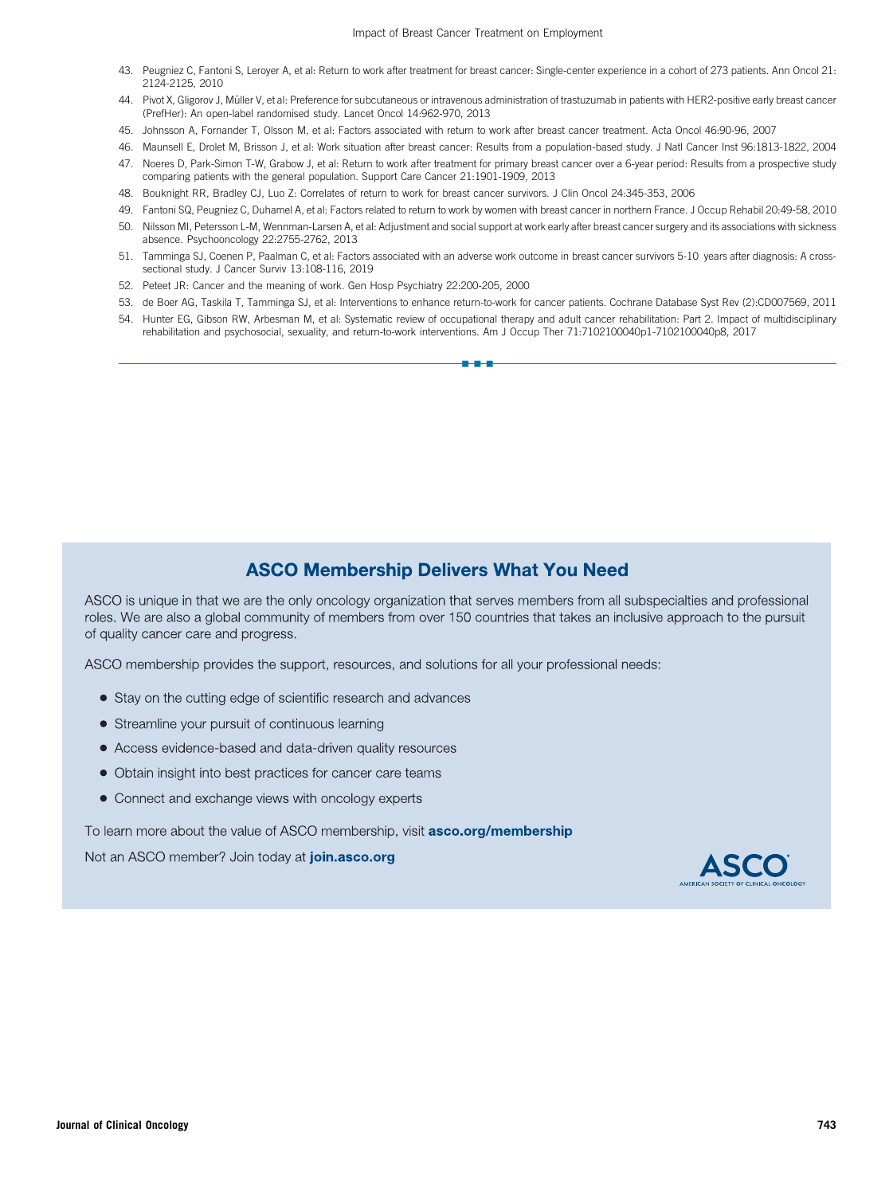- <span id="page-9-0"></span>43. Peugniez C, Fantoni S, Leroyer A, et al: Return to work after treatment for breast cancer: Single-center experience in a cohort of 273 patients. Ann Oncol 21: 2124-2125, 2010
- <span id="page-9-1"></span>44. Pivot X, Gligorov J, Müller V, et al: Preference for subcutaneous or intravenous administration of trastuzumab in patients with HER2-positive early breast cancer (PrefHer): An open-label randomised study. Lancet Oncol 14:962-970, 2013
- <span id="page-9-2"></span>45. Johnsson A, Fornander T, Olsson M, et al: Factors associated with return to work after breast cancer treatment. Acta Oncol 46:90-96, 2007
- <span id="page-9-4"></span>46. Maunsell E, Drolet M, Brisson J, et al: Work situation after breast cancer: Results from a population-based study. J Natl Cancer Inst 96:1813-1822, 2004
- <span id="page-9-3"></span>47. Noeres D, Park-Simon T-W, Grabow J, et al: Return to work after treatment for primary breast cancer over a 6-year period: Results from a prospective study comparing patients with the general population. Support Care Cancer 21:1901-1909, 2013
- <span id="page-9-5"></span>48. Bouknight RR, Bradley CJ, Luo Z: Correlates of return to work for breast cancer survivors. J Clin Oncol 24:345-353, 2006
- <span id="page-9-6"></span>49. Fantoni SQ, Peugniez C, Duhamel A, et al: Factors related to return to work by women with breast cancer in northern France. J Occup Rehabil 20:49-58, 2010
- <span id="page-9-7"></span>50. Nilsson MI, Petersson L-M, Wennman-Larsen A, et al: Adjustment and social support at work early after breast cancer surgery and its associations with sickness absence. Psychooncology 22:2755-2762, 2013
- <span id="page-9-8"></span>51. Tamminga SJ, Coenen P, Paalman C, et al: Factors associated with an adverse work outcome in breast cancer survivors 5-10 years after diagnosis: A crosssectional study. J Cancer Surviv 13:108-116, 2019
- <span id="page-9-9"></span>52. Peteet JR: Cancer and the meaning of work. Gen Hosp Psychiatry 22:200-205, 2000
- <span id="page-9-10"></span>53. de Boer AG, Taskila T, Tamminga SJ, et al: Interventions to enhance return-to-work for cancer patients. Cochrane Database Syst Rev (2):CD007569, 2011
- <span id="page-9-11"></span>54. Hunter EG, Gibson RW, Arbesman M, et al: Systematic review of occupational therapy and adult cancer rehabilitation: Part 2. Impact of multidisciplinary rehabilitation and psychosocial, sexuality, and return-to-work interventions. Am J Occup Ther 71:7102100040p1-7102100040p8, 2017

nnn

# **ASCO Membership Delivers What You Need**

ASCO is unique in that we are the only oncology organization that serves members from all subspecialties and professional roles. We are also a global community of members from over 150 countries that takes an inclusive approach to the pursuit of quality cancer care and progress.

ASCO membership provides the support, resources, and solutions for all your professional needs:

- Stay on the cutting edge of scientific research and advances
- Streamline your pursuit of continuous learning
- Access evidence-based and data-driven quality resources
- Obtain insight into best practices for cancer care teams
- Connect and exchange views with oncology experts

To learn more about the value of ASCO membership, visit **asco.org/membership** 

Not an ASCO member? Join today at join.asco.org

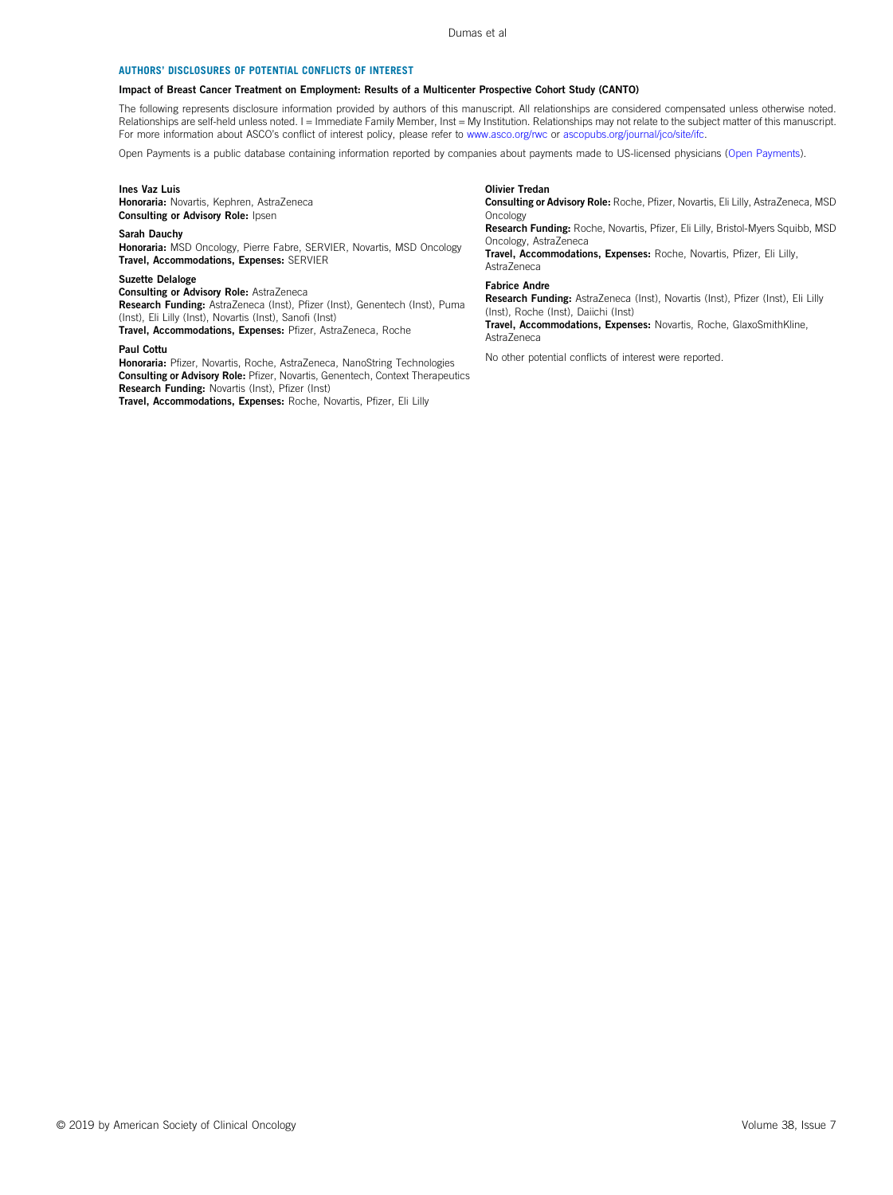#### AUTHORS' DISCLOSURES OF POTENTIAL CONFLICTS OF INTEREST

#### Impact of Breast Cancer Treatment on Employment: Results of a Multicenter Prospective Cohort Study (CANTO)

The following represents disclosure information provided by authors of this manuscript. All relationships are considered compensated unless otherwise noted. Relationships are self-held unless noted. I = Immediate Family Member, Inst = My Institution. Relationships may not relate to the subject matter of this manuscript. For more information about ASCO's conflict of interest policy, please refer to [www.asco.org/rwc](http://www.asco.org/rwc) or [ascopubs.org/journal/jco/site/ifc.](https://ascopubs.org/journal/jco/site/ifc)

Open Payments is a public database containing information reported by companies about payments made to US-licensed physicians [\(Open Payments](https://openpaymentsdata.cms.gov/)).

#### Ines Vaz Luis

Honoraria: Novartis, Kephren, AstraZeneca Consulting or Advisory Role: Ipsen

#### Sarah Dauchy

Honoraria: MSD Oncology, Pierre Fabre, SERVIER, Novartis, MSD Oncology Travel, Accommodations, Expenses: SERVIER

#### Suzette Delaloge

Consulting or Advisory Role: AstraZeneca Research Funding: AstraZeneca (Inst), Pfizer (Inst), Genentech (Inst), Puma (Inst), Eli Lilly (Inst), Novartis (Inst), Sanofi (Inst) Travel, Accommodations, Expenses: Pfizer, AstraZeneca, Roche

#### Paul Cottu

Honoraria: Pfizer, Novartis, Roche, AstraZeneca, NanoString Technologies Consulting or Advisory Role: Pfizer, Novartis, Genentech, Context Therapeutics Research Funding: Novartis (Inst), Pfizer (Inst) Travel, Accommodations, Expenses: Roche, Novartis, Pfizer, Eli Lilly

#### Olivier Tredan

Consulting or Advisory Role: Roche, Pfizer, Novartis, Eli Lilly, AstraZeneca, MSD **Oncology** 

Research Funding: Roche, Novartis, Pfizer, Eli Lilly, Bristol-Myers Squibb, MSD Oncology, AstraZeneca

Travel, Accommodations, Expenses: Roche, Novartis, Pfizer, Eli Lilly, **AstraZeneca** 

#### Fabrice Andre

Research Funding: AstraZeneca (Inst), Novartis (Inst), Pfizer (Inst), Eli Lilly (Inst), Roche (Inst), Daiichi (Inst) Travel, Accommodations, Expenses: Novartis, Roche, GlaxoSmithKline, AstraZeneca

No other potential conflicts of interest were reported.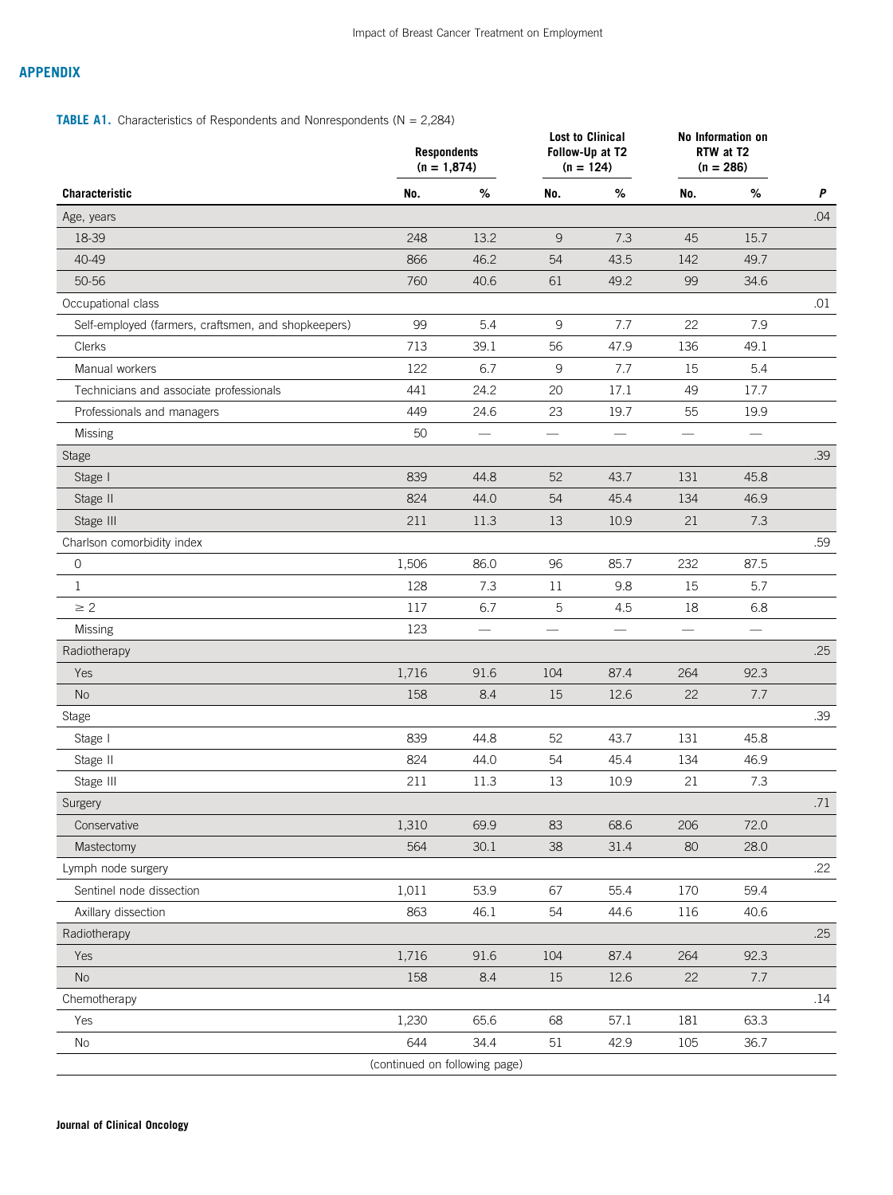# APPENDIX

# <span id="page-11-0"></span>**TABLE A1.** Characteristics of Respondents and Nonrespondents ( $N = 2,284$ )

|                                                     | <b>Respondents</b><br>$(n = 1,874)$ |                          | <b>Lost to Clinical</b><br>Follow-Up at T2<br>$(n = 124)$ |                   | No Information on<br>RTW at T2<br>$(n = 286)$ |                               |                  |  |
|-----------------------------------------------------|-------------------------------------|--------------------------|-----------------------------------------------------------|-------------------|-----------------------------------------------|-------------------------------|------------------|--|
| Characteristic                                      | No.                                 | $\%$                     | No.                                                       | $\%$              | No.                                           | $\%$                          | $\boldsymbol{P}$ |  |
| Age, years                                          |                                     |                          |                                                           |                   |                                               |                               | .04              |  |
| 18-39                                               | 248                                 | 13.2                     | $\overline{9}$                                            | 7.3               | 45                                            | 15.7                          |                  |  |
| 40-49                                               | 866                                 | 46.2                     | 54                                                        | 43.5              | 142                                           | 49.7                          |                  |  |
| 50-56                                               | 760                                 | 40.6                     | 61                                                        | 49.2              | 99                                            | 34.6                          |                  |  |
| Occupational class                                  |                                     |                          |                                                           |                   |                                               |                               | .01              |  |
| Self-employed (farmers, craftsmen, and shopkeepers) | 99                                  | 5.4                      | $\mathsf g$                                               | 7.7               | 22                                            | 7.9                           |                  |  |
| Clerks                                              | 713                                 | 39.1                     | 56                                                        | 47.9              | 136                                           | 49.1                          |                  |  |
| Manual workers                                      | 122                                 | 6.7                      | 9                                                         | 7.7               | 15                                            | 5.4                           |                  |  |
| Technicians and associate professionals             | 441                                 | 24.2                     | 20                                                        | 17.1              | 49                                            | 17.7                          |                  |  |
| Professionals and managers                          | 449                                 | 24.6                     | 23                                                        | 19.7              | 55                                            | 19.9                          |                  |  |
| Missing                                             | 50                                  |                          |                                                           |                   |                                               |                               |                  |  |
| <b>Stage</b>                                        |                                     |                          |                                                           |                   |                                               |                               | .39              |  |
| Stage I                                             | 839                                 | 44.8                     | 52                                                        | 43.7              | 131                                           | 45.8                          |                  |  |
| Stage II                                            | 824                                 | 44.0                     | 54                                                        | 45.4              | 134                                           | 46.9                          |                  |  |
| Stage III                                           | 211                                 | 11.3                     | 13                                                        | 10.9              | 21                                            | 7.3                           |                  |  |
| Charlson comorbidity index                          |                                     |                          |                                                           |                   |                                               |                               | .59              |  |
| $\circ$                                             | 1,506                               | 86.0                     | 96                                                        | 85.7              | 232                                           | 87.5                          |                  |  |
| $\mathbf{1}$                                        | 128                                 | 7.3                      | 11                                                        | 9.8               | 15                                            | 5.7                           |                  |  |
| $\geq 2$                                            | 117                                 | 6.7                      | 5                                                         | 4.5               | 18                                            | 6.8                           |                  |  |
| Missing                                             | 123                                 | $\overline{\phantom{0}}$ | $\overline{\phantom{m}}$                                  | $\qquad \qquad -$ | $\overline{\phantom{m}}$                      | $\overbrace{\phantom{aaaaa}}$ |                  |  |
| Radiotherapy                                        |                                     |                          |                                                           |                   |                                               |                               | .25              |  |
| Yes                                                 | 1,716                               | 91.6                     | 104                                                       | 87.4              | 264                                           | 92.3                          |                  |  |
| <b>No</b>                                           | 158                                 | 8.4                      | 15                                                        | 12.6              | 22                                            | 7.7                           |                  |  |
| Stage                                               |                                     |                          |                                                           |                   |                                               |                               | .39              |  |
| Stage I                                             | 839                                 | 44.8                     | 52                                                        | 43.7              | 131                                           | 45.8                          |                  |  |
| Stage II                                            | 824                                 | 44.0                     | 54                                                        | 45.4              | 134                                           | 46.9                          |                  |  |
| Stage III                                           | 211                                 | 11.3                     | 13                                                        | 10.9              | 21                                            | 7.3                           |                  |  |
| Surgery                                             |                                     |                          |                                                           |                   |                                               |                               | .71              |  |
| Conservative                                        | 1,310                               | 69.9                     | 83                                                        | 68.6              | 206                                           | 72.0                          |                  |  |
| Mastectomy                                          | 564                                 | 30.1                     | 38                                                        | 31.4              | 80                                            | 28.0                          |                  |  |
| Lymph node surgery                                  |                                     |                          |                                                           |                   |                                               |                               | .22              |  |
| Sentinel node dissection                            | 1,011                               | 53.9                     | 67                                                        | 55.4              | 170                                           | 59.4                          |                  |  |
| Axillary dissection                                 | 863                                 | 46.1                     | 54                                                        | 44.6              | 116                                           | 40.6                          |                  |  |
| Radiotherapy                                        |                                     |                          |                                                           |                   |                                               |                               | .25              |  |
| Yes                                                 | 1,716                               | 91.6                     | 104                                                       | 87.4              | 264                                           | 92.3                          |                  |  |
| No                                                  | 158                                 | 8.4                      | 15                                                        | 12.6              | 22                                            | 7.7                           |                  |  |
| Chemotherapy                                        |                                     |                          |                                                           |                   |                                               |                               | .14              |  |
| Yes                                                 | 1,230                               | 65.6                     | 68                                                        | 57.1              | 181                                           | 63.3                          |                  |  |
| No                                                  | 644                                 | 34.4                     | 51                                                        | 42.9              | 105                                           | 36.7                          |                  |  |
|                                                     | (continued on following page)       |                          |                                                           |                   |                                               |                               |                  |  |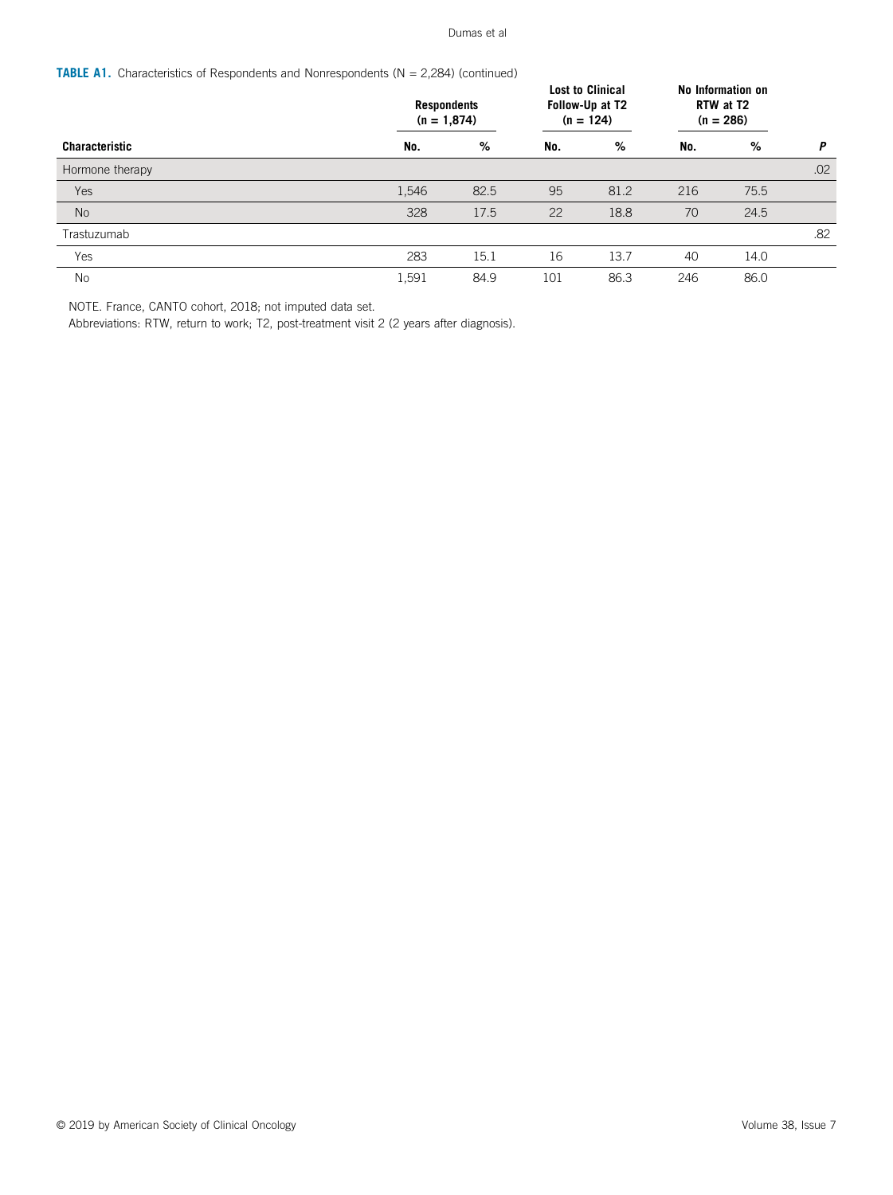**TABLE A1.** Characteristics of Respondents and Nonrespondents ( $N = 2,284$ ) (continued)

|                       | <b>Respondents</b><br>$(n = 1,874)$ |      | <b>Lost to Clinical</b><br>Follow-Up at T2<br>$(n = 124)$ |      | No Information on<br>RTW at T2<br>$(n = 286)$ |      |     |  |
|-----------------------|-------------------------------------|------|-----------------------------------------------------------|------|-----------------------------------------------|------|-----|--|
| <b>Characteristic</b> | No.                                 | %    | No.                                                       | %    | No.                                           | %    | P   |  |
| Hormone therapy       |                                     |      |                                                           |      |                                               |      | .02 |  |
| Yes                   | 1,546                               | 82.5 | 95                                                        | 81.2 | 216                                           | 75.5 |     |  |
| <b>No</b>             | 328                                 | 17.5 | 22                                                        | 18.8 | 70                                            | 24.5 |     |  |
| Trastuzumab           |                                     |      |                                                           |      |                                               |      | .82 |  |
| Yes                   | 283                                 | 15.1 | 16                                                        | 13.7 | 40                                            | 14.0 |     |  |
| No                    | 1,591                               | 84.9 | 101                                                       | 86.3 | 246                                           | 86.0 |     |  |

NOTE. France, CANTO cohort, 2018; not imputed data set.

Abbreviations: RTW, return to work; T2, post-treatment visit 2 (2 years after diagnosis).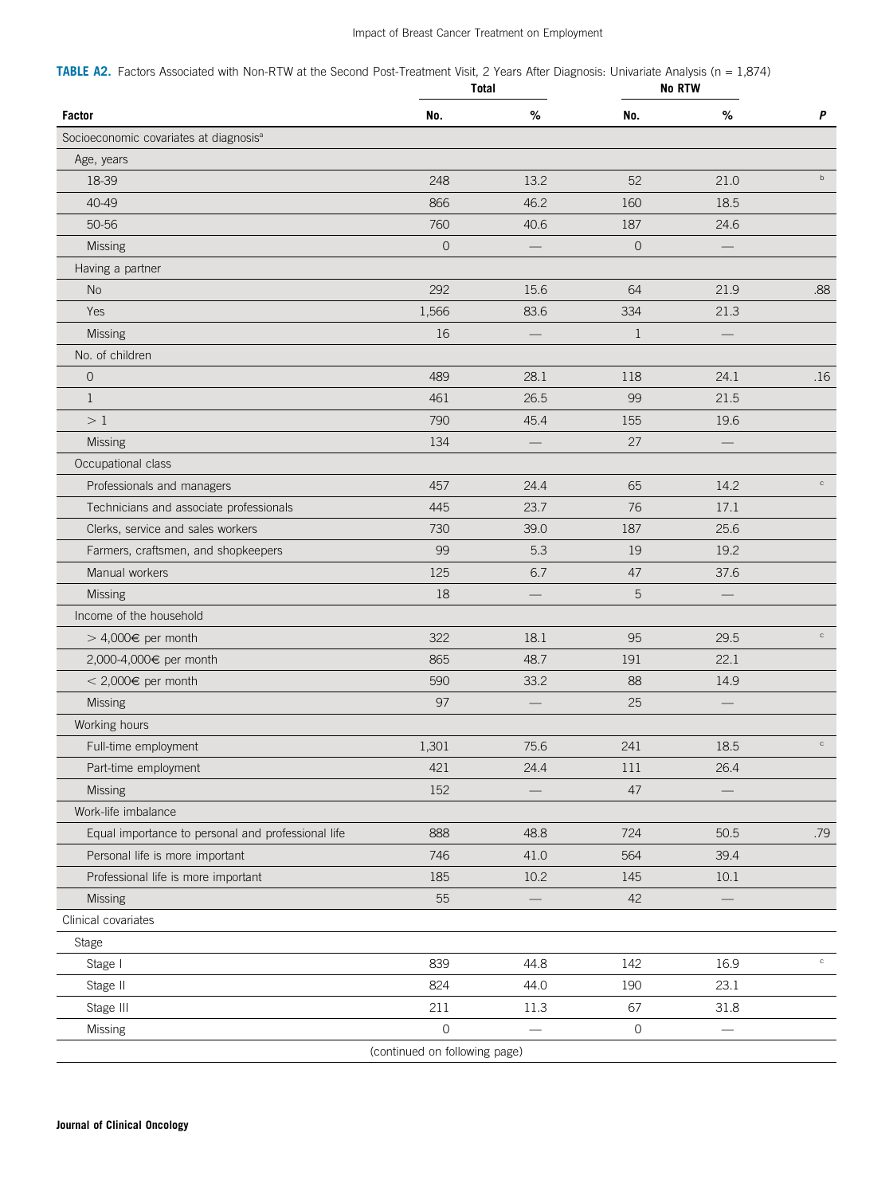# Impact of Breast Cancer Treatment on Employment

<span id="page-13-0"></span>TABLE A2. Factors Associated with Non-RTW at the Second Post-Treatment Visit, 2 Years After Diagnosis: Univariate Analysis (n = 1,874)

|                                                    | Total                         |                                |                     | <b>No RTW</b>                  |             |
|----------------------------------------------------|-------------------------------|--------------------------------|---------------------|--------------------------------|-------------|
| <b>Factor</b>                                      | No.                           | %                              | No.                 | $\%$                           | P           |
| Socioeconomic covariates at diagnosis <sup>a</sup> |                               |                                |                     |                                |             |
| Age, years                                         |                               |                                |                     |                                |             |
| 18-39                                              | 248                           | 13.2                           | 52                  | 21.0                           | $\mathsf b$ |
| 40-49                                              | 866                           | 46.2                           | 160                 | 18.5                           |             |
| 50-56                                              | 760                           | 40.6                           | 187                 | 24.6                           |             |
| Missing                                            | $\mathbf 0$                   |                                | $\mathbf 0$         |                                |             |
| Having a partner                                   |                               |                                |                     |                                |             |
| No                                                 | 292                           | 15.6                           | 64                  | 21.9                           | .88         |
| Yes                                                | 1,566                         | 83.6                           | 334                 | 21.3                           |             |
| Missing                                            | 16                            |                                | $\mathbf{1}$        |                                |             |
| No. of children                                    |                               |                                |                     |                                |             |
| $\mathsf O$                                        | 489                           | 28.1                           | 118                 | 24.1                           | .16         |
| $\mathbf{1}$                                       | 461                           | 26.5                           | 99                  | 21.5                           |             |
| >1                                                 | 790                           | 45.4                           | 155                 | 19.6                           |             |
| Missing                                            | 134                           |                                | 27                  |                                |             |
| Occupational class                                 |                               |                                |                     |                                |             |
| Professionals and managers                         | 457                           | 24.4                           | 65                  | 14.2                           | $_{\rm c}$  |
| Technicians and associate professionals            | 445                           | 23.7                           | 76                  | 17.1                           |             |
| Clerks, service and sales workers                  | 730                           | 39.0                           | 187                 | 25.6                           |             |
| Farmers, craftsmen, and shopkeepers                | 99                            | 5.3                            | 19                  | 19.2                           |             |
| Manual workers                                     | 125                           | 6.7                            | 47                  | 37.6                           |             |
| Missing                                            | 18                            |                                | 5                   |                                |             |
| Income of the household                            |                               |                                |                     |                                |             |
| > 4,000€ per month                                 | 322                           | 18.1                           | 95                  | 29.5                           | $_{\rm C}$  |
| 2,000-4,000€ per month                             | 865                           | 48.7                           | 191                 | 22.1                           |             |
| < 2,000€ per month                                 | 590                           | 33.2                           | 88                  | 14.9                           |             |
| Missing                                            | 97                            |                                | 25                  |                                |             |
| Working hours                                      |                               |                                |                     |                                |             |
| Full-time employment                               | 1,301                         | 75.6                           | 241                 | 18.5                           | $_{\rm c}$  |
| Part-time employment                               | 421                           | 24.4                           | $111\,$             | 26.4                           |             |
| <b>Missing</b>                                     | 152                           |                                | 47                  |                                |             |
| Work-life imbalance                                |                               |                                |                     |                                |             |
| Equal importance to personal and professional life | 888                           | 48.8                           | 724                 | 50.5                           | .79         |
| Personal life is more important                    | 746                           | 41.0                           | 564                 | 39.4                           |             |
| Professional life is more important                | 185                           | 10.2                           | 145                 | $10.1\,$                       |             |
| Missing                                            | 55                            |                                | 42                  |                                |             |
| Clinical covariates                                |                               |                                |                     |                                |             |
| Stage                                              |                               |                                |                     |                                |             |
| Stage I                                            | 839                           | 44.8                           | 142                 | 16.9                           | $_{\rm c}$  |
| Stage II                                           | 824                           | 44.0                           | 190                 | 23.1                           |             |
| Stage III                                          | 211                           | 11.3                           | 67                  | 31.8                           |             |
| Missing                                            | $\mathsf{O}\xspace$           | $\qquad \qquad \longleftarrow$ | $\mathsf{O}\xspace$ | $\qquad \qquad \longleftarrow$ |             |
|                                                    | (continued on following page) |                                |                     |                                |             |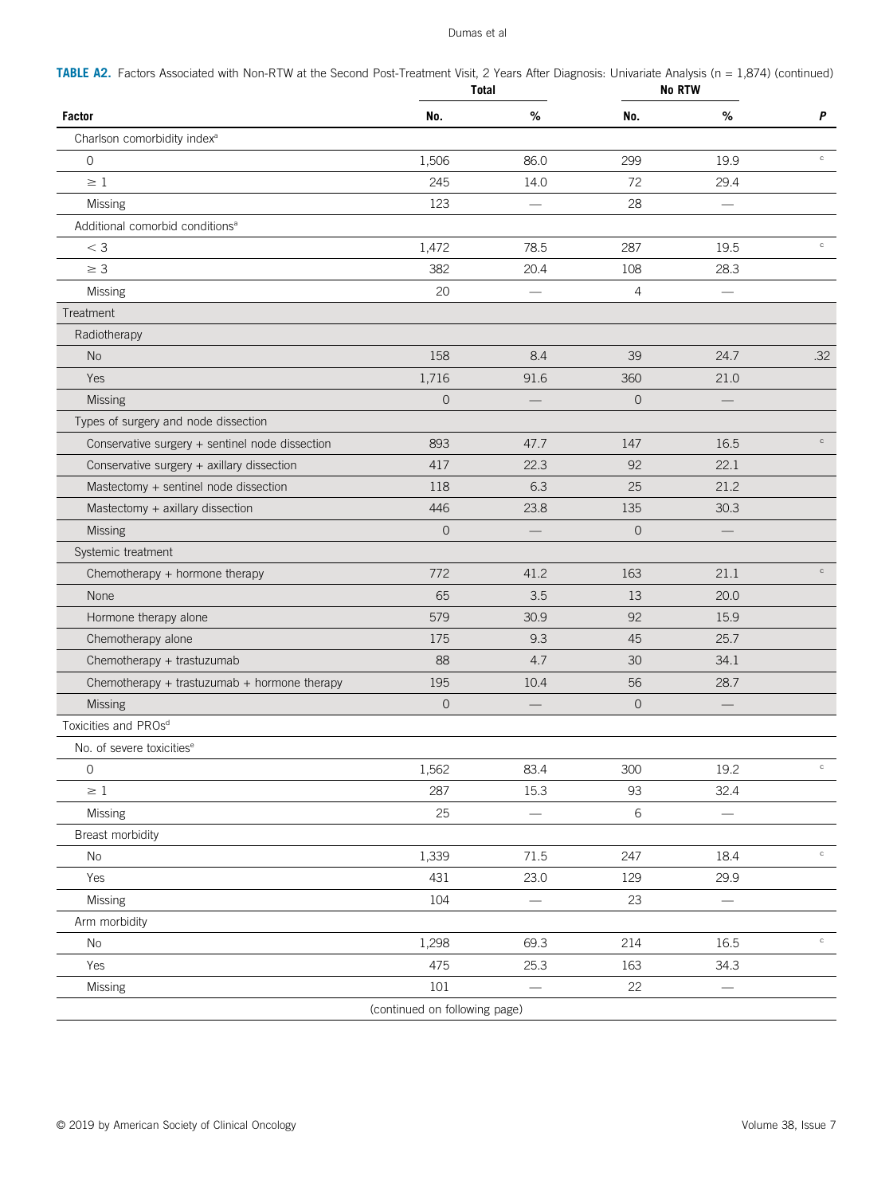TABLE A2. Factors Associated with Non-RTW at the Second Post-Treatment Visit, 2 Years After Diagnosis: Univariate Analysis (n = 1,874) (continued)

|                                                 | Total                         |                          | <b>No RTW</b>  |      |              |
|-------------------------------------------------|-------------------------------|--------------------------|----------------|------|--------------|
| <b>Factor</b>                                   | No.                           | %                        | No.            | %    | P            |
| Charlson comorbidity index <sup>a</sup>         |                               |                          |                |      |              |
| $\mathsf{O}$                                    | 1,506                         | 86.0                     | 299            | 19.9 | $_{\rm C}$   |
| $\geq 1$                                        | 245                           | 14.0                     | 72             | 29.4 |              |
| Missing                                         | 123                           |                          | 28             |      |              |
| Additional comorbid conditions <sup>a</sup>     |                               |                          |                |      |              |
| $<$ 3                                           | 1,472                         | 78.5                     | 287            | 19.5 | $_{\rm C}$   |
| $\geq 3$                                        | 382                           | 20.4                     | 108            | 28.3 |              |
| Missing                                         | 20                            | $\overline{\phantom{0}}$ | $\overline{4}$ |      |              |
| Treatment                                       |                               |                          |                |      |              |
| Radiotherapy                                    |                               |                          |                |      |              |
| No                                              | 158                           | 8.4                      | 39             | 24.7 | .32          |
| Yes                                             | 1,716                         | 91.6                     | 360            | 21.0 |              |
| Missing                                         | 0                             |                          | $\mathbf{O}$   |      |              |
| Types of surgery and node dissection            |                               |                          |                |      |              |
| Conservative surgery + sentinel node dissection | 893                           | 47.7                     | 147            | 16.5 | $_{\rm C}$   |
| Conservative surgery + axillary dissection      | 417                           | 22.3                     | 92             | 22.1 |              |
| Mastectomy + sentinel node dissection           | 118                           | 6.3                      | 25             | 21.2 |              |
| Mastectomy + axillary dissection                | 446                           | 23.8                     | 135            | 30.3 |              |
| <b>Missing</b>                                  | $\overline{0}$                |                          | $\mathbf{O}$   |      |              |
| Systemic treatment                              |                               |                          |                |      |              |
| Chemotherapy + hormone therapy                  | 772                           | 41.2                     | 163            | 21.1 | $_{\rm c}$   |
| None                                            | 65                            | 3.5                      | 13             | 20.0 |              |
| Hormone therapy alone                           | 579                           | 30.9                     | 92             | 15.9 |              |
| Chemotherapy alone                              | 175                           | 9.3                      | 45             | 25.7 |              |
| Chemotherapy + trastuzumab                      | 88                            | 4.7                      | 30             | 34.1 |              |
| Chemotherapy + trastuzumab + hormone therapy    | 195                           | 10.4                     | 56             | 28.7 |              |
| Missing                                         | $\mathbf 0$                   |                          | $\mathbf{O}$   |      |              |
| Toxicities and PROsd                            |                               |                          |                |      |              |
| No. of severe toxicities <sup>e</sup>           |                               |                          |                |      |              |
| $\mathsf O$                                     | 1,562                         | 83.4                     | 300            | 19.2 |              |
| $\geq 1$                                        | 287                           | 15.3                     | 93             | 32.4 |              |
| Missing                                         | 25                            |                          | 6              |      |              |
| Breast morbidity                                |                               |                          |                |      |              |
| No                                              | 1,339                         | 71.5                     | 247            | 18.4 | $\mathtt{C}$ |
| Yes                                             | 431                           | 23.0                     | 129            | 29.9 |              |
| Missing                                         | 104                           |                          | 23             |      |              |
| Arm morbidity                                   |                               |                          |                |      |              |
| No                                              | 1,298                         | 69.3                     | 214            | 16.5 | $\mathtt{C}$ |
| Yes                                             | 475                           | 25.3                     | 163            | 34.3 |              |
| Missing                                         | 101                           | $\overline{\phantom{0}}$ | 22             |      |              |
|                                                 | (continued on following page) |                          |                |      |              |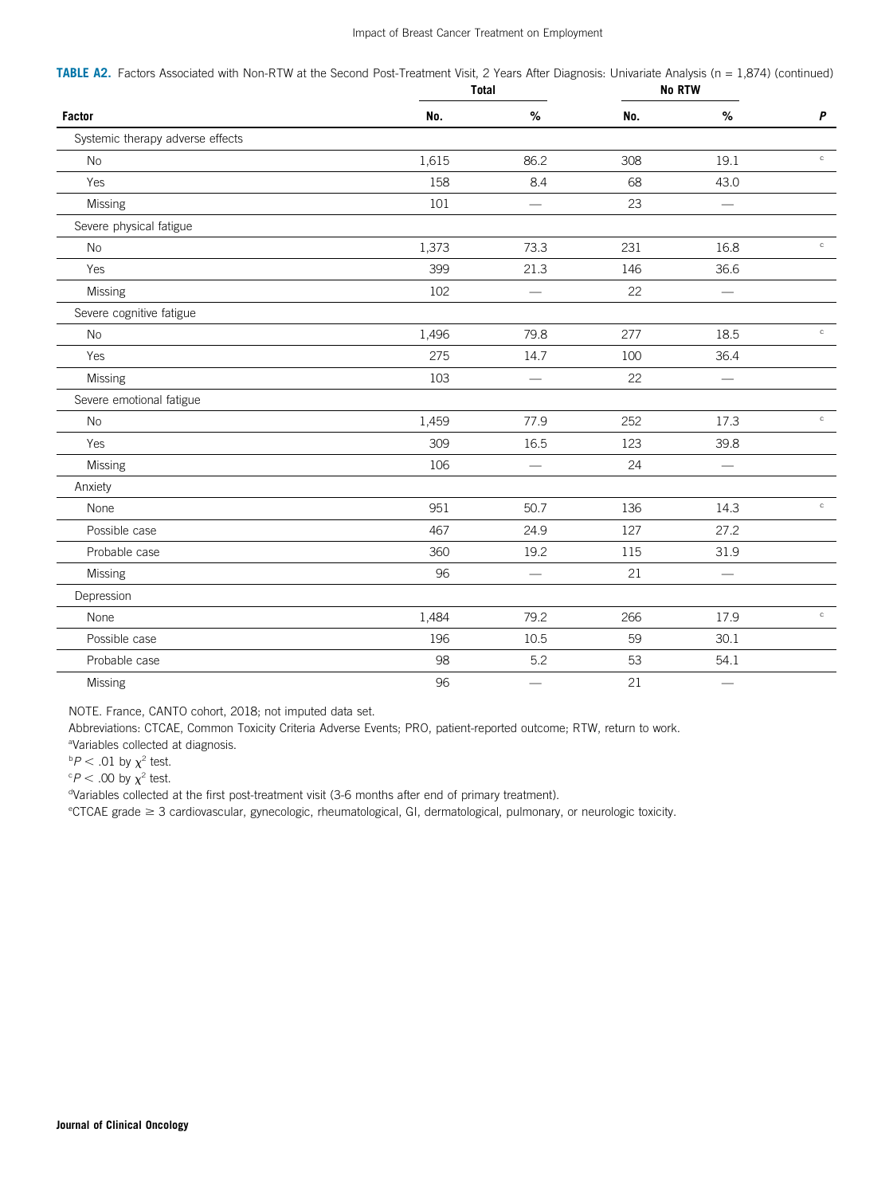# Impact of Breast Cancer Treatment on Employment

TABLE A2. Factors Associated with Non-RTW at the Second Post-Treatment Visit, 2 Years After Diagnosis: Univariate Analysis (n = 1,874) (continued)

|                                  | Total |                          | <b>No RTW</b> |                          |                  |
|----------------------------------|-------|--------------------------|---------------|--------------------------|------------------|
| Factor                           | No.   | %                        | No.           | %                        | $\boldsymbol{P}$ |
| Systemic therapy adverse effects |       |                          |               |                          |                  |
| <b>No</b>                        | 1,615 | 86.2                     | 308           | 19.1                     | $_{\rm c}$       |
| Yes                              | 158   | 8.4                      | 68            | 43.0                     |                  |
| Missing                          | 101   | $\equiv$                 | 23            | $\equiv$                 |                  |
| Severe physical fatigue          |       |                          |               |                          |                  |
| <b>No</b>                        | 1,373 | 73.3                     | 231           | 16.8                     | $_{\rm c}$       |
| Yes                              | 399   | 21.3                     | 146           | 36.6                     |                  |
| Missing                          | 102   | $\sim$                   | 22            | $\qquad \qquad \qquad$   |                  |
| Severe cognitive fatigue         |       |                          |               |                          |                  |
| <b>No</b>                        | 1,496 | 79.8                     | 277           | 18.5                     | $_{\rm c}$       |
| Yes                              | 275   | 14.7                     | 100           | 36.4                     |                  |
| Missing                          | 103   | $\overline{\phantom{0}}$ | 22            | $\qquad \qquad \qquad$   |                  |
| Severe emotional fatigue         |       |                          |               |                          |                  |
| <b>No</b>                        | 1,459 | 77.9                     | 252           | 17.3                     | $_{\rm c}$       |
| Yes                              | 309   | 16.5                     | 123           | 39.8                     |                  |
| Missing                          | 106   |                          | 24            |                          |                  |
| Anxiety                          |       |                          |               |                          |                  |
| None                             | 951   | 50.7                     | 136           | 14.3                     | $_{\rm c}$       |
| Possible case                    | 467   | 24.9                     | 127           | 27.2                     |                  |
| Probable case                    | 360   | 19.2                     | 115           | 31.9                     |                  |
| Missing                          | 96    | $\frac{1}{2}$            | 21            | $\overline{\phantom{0}}$ |                  |
| Depression                       |       |                          |               |                          |                  |
| None                             | 1,484 | 79.2                     | 266           | 17.9                     | $_{\rm c}$       |
| Possible case                    | 196   | 10.5                     | 59            | 30.1                     |                  |
| Probable case                    | 98    | 5.2                      | 53            | 54.1                     |                  |
| Missing                          | 96    | $\overline{\phantom{a}}$ | 21            | $\qquad \qquad$          |                  |

NOTE. France, CANTO cohort, 2018; not imputed data set.

Abbreviations: CTCAE, Common Toxicity Criteria Adverse Events; PRO, patient-reported outcome; RTW, return to work.

<sup>a</sup>Variables collected at diagnosis.

 $bP < .01$  by  $\chi^2$  test.

 $\degree P$  < .00 by  $\chi^2$  test.

<sup>d</sup>Variables collected at the first post-treatment visit (3-6 months after end of primary treatment).

<sup>e</sup>CTCAE grade ≥ 3 cardiovascular, gynecologic, rheumatological, GI, dermatological, pulmonary, or neurologic toxicity.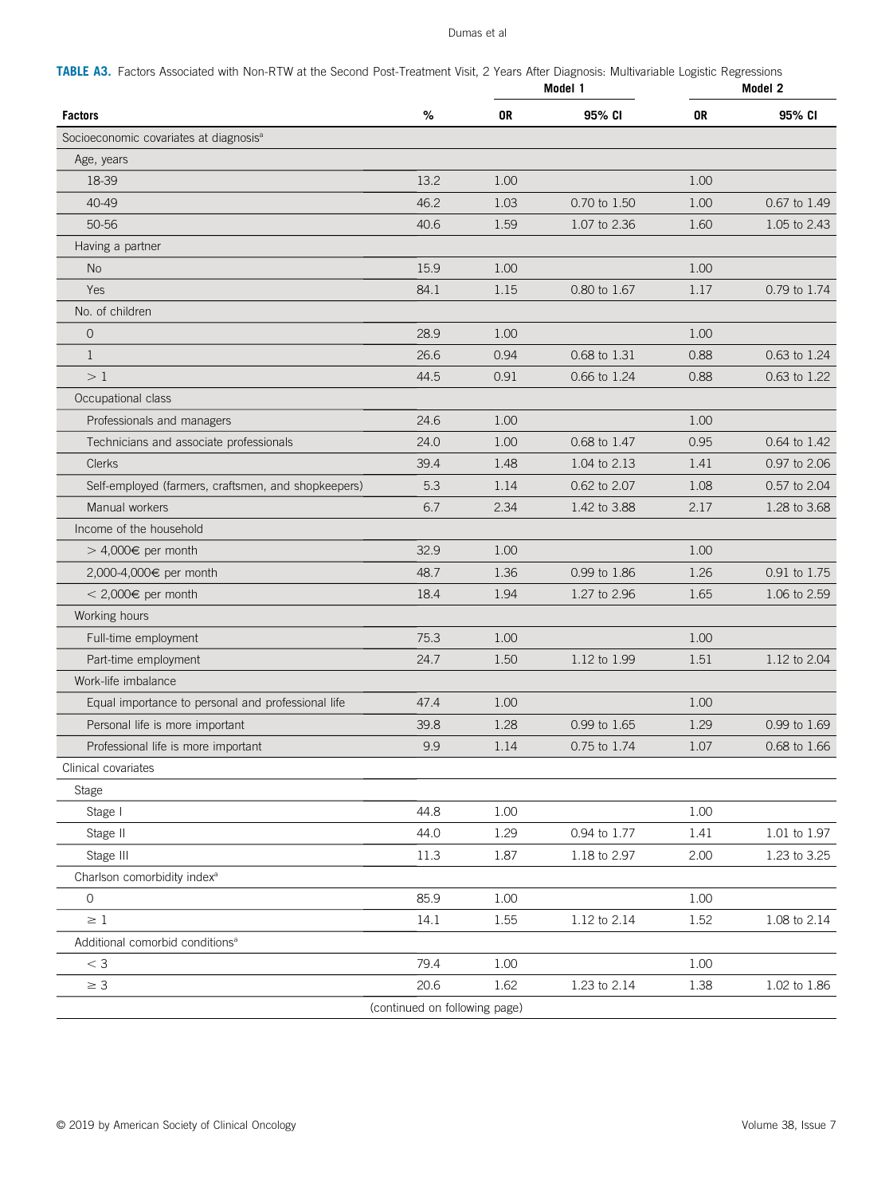<span id="page-16-0"></span>

| TABLE A3. Factors Associated with Non-RTW at the Second Post-Treatment Visit, 2 Years After Diagnosis: Multivariable Logistic Regressions |
|-------------------------------------------------------------------------------------------------------------------------------------------|
|-------------------------------------------------------------------------------------------------------------------------------------------|

|                                                     |                               |      | Model 1      |      | Model 2            |  |
|-----------------------------------------------------|-------------------------------|------|--------------|------|--------------------|--|
| <b>Factors</b>                                      | %                             | 0R   | 95% CI       | 0R   | 95% CI             |  |
| Socioeconomic covariates at diagnosis <sup>a</sup>  |                               |      |              |      |                    |  |
| Age, years                                          |                               |      |              |      |                    |  |
| 18-39                                               | 13.2                          | 1.00 |              | 1.00 |                    |  |
| 40-49                                               | 46.2                          | 1.03 | 0.70 to 1.50 | 1.00 | 0.67 to 1.49       |  |
| 50-56                                               | 40.6                          | 1.59 | 1.07 to 2.36 | 1.60 | 1.05 to 2.43       |  |
| Having a partner                                    |                               |      |              |      |                    |  |
| <b>No</b>                                           | 15.9                          | 1.00 |              | 1.00 |                    |  |
| Yes                                                 | 84.1                          | 1.15 | 0.80 to 1.67 | 1.17 | 0.79 to 1.74       |  |
| No. of children                                     |                               |      |              |      |                    |  |
| $\mathbf 0$                                         | 28.9                          | 1.00 |              | 1.00 |                    |  |
| $\mathbf{1}$                                        | 26.6                          | 0.94 | 0.68 to 1.31 | 0.88 | 0.63 to 1.24       |  |
| >1                                                  | 44.5                          | 0.91 | 0.66 to 1.24 | 0.88 | 0.63 to 1.22       |  |
| Occupational class                                  |                               |      |              |      |                    |  |
| Professionals and managers                          | 24.6                          | 1.00 |              | 1.00 |                    |  |
| Technicians and associate professionals             | 24.0                          | 1.00 | 0.68 to 1.47 | 0.95 | 0.64 to 1.42       |  |
| <b>Clerks</b>                                       | 39.4                          | 1.48 | 1.04 to 2.13 | 1.41 | 0.97 to 2.06       |  |
| Self-employed (farmers, craftsmen, and shopkeepers) | 5.3                           | 1.14 | 0.62 to 2.07 | 1.08 | 0.57 to 2.04       |  |
| Manual workers                                      | 6.7                           | 2.34 | 1.42 to 3.88 | 2.17 | 1.28 to 3.68       |  |
| Income of the household                             |                               |      |              |      |                    |  |
| > 4,000€ per month                                  | 32.9                          | 1.00 |              | 1.00 |                    |  |
| 2,000-4,000€ per month                              | 48.7                          | 1.36 | 0.99 to 1.86 | 1.26 | 0.91 to 1.75       |  |
| $<$ 2,000€ per month                                | 18.4                          | 1.94 | 1.27 to 2.96 | 1.65 | 1.06 to 2.59       |  |
| Working hours                                       |                               |      |              |      |                    |  |
| Full-time employment                                | 75.3                          | 1.00 |              | 1.00 |                    |  |
| Part-time employment                                | 24.7                          | 1.50 | 1.12 to 1.99 | 1.51 | 1.12 to 2.04       |  |
| Work-life imbalance                                 |                               |      |              |      |                    |  |
| Equal importance to personal and professional life  | 47.4                          | 1.00 |              | 1.00 |                    |  |
| Personal life is more important                     | 39.8                          | 1.28 | 0.99 to 1.65 | 1.29 | 0.99 to 1.69       |  |
| Professional life is more important                 | 9.9                           | 1.14 | 0.75 to 1.74 | 1.07 | 0.68 to 1.66       |  |
| Clinical covariates                                 |                               |      |              |      |                    |  |
| Stage                                               |                               |      |              |      |                    |  |
| Stage I                                             | 44.8                          | 1.00 |              | 1.00 |                    |  |
| Stage II                                            | 44.0                          | 1.29 | 0.94 to 1.77 | 1.41 | 1.01 to 1.97       |  |
| Stage III                                           | 11.3                          | 1.87 | 1.18 to 2.97 | 2.00 | 1.23 to 3.25       |  |
| Charlson comorbidity index <sup>a</sup>             |                               |      |              |      |                    |  |
| $\mathsf{O}\xspace$                                 | 85.9                          | 1.00 |              | 1.00 |                    |  |
| $\geq 1$                                            | 14.1                          | 1.55 | 1.12 to 2.14 | 1.52 | 1.08 to 2.14       |  |
| Additional comorbid conditions <sup>a</sup>         |                               |      |              |      |                    |  |
| $<$ 3                                               | 79.4                          | 1.00 |              | 1.00 |                    |  |
| $\geq 3$                                            | 20.6                          | 1.62 | 1.23 to 2.14 | 1.38 | $1.02$ to $1.86\,$ |  |
|                                                     | (continued on following page) |      |              |      |                    |  |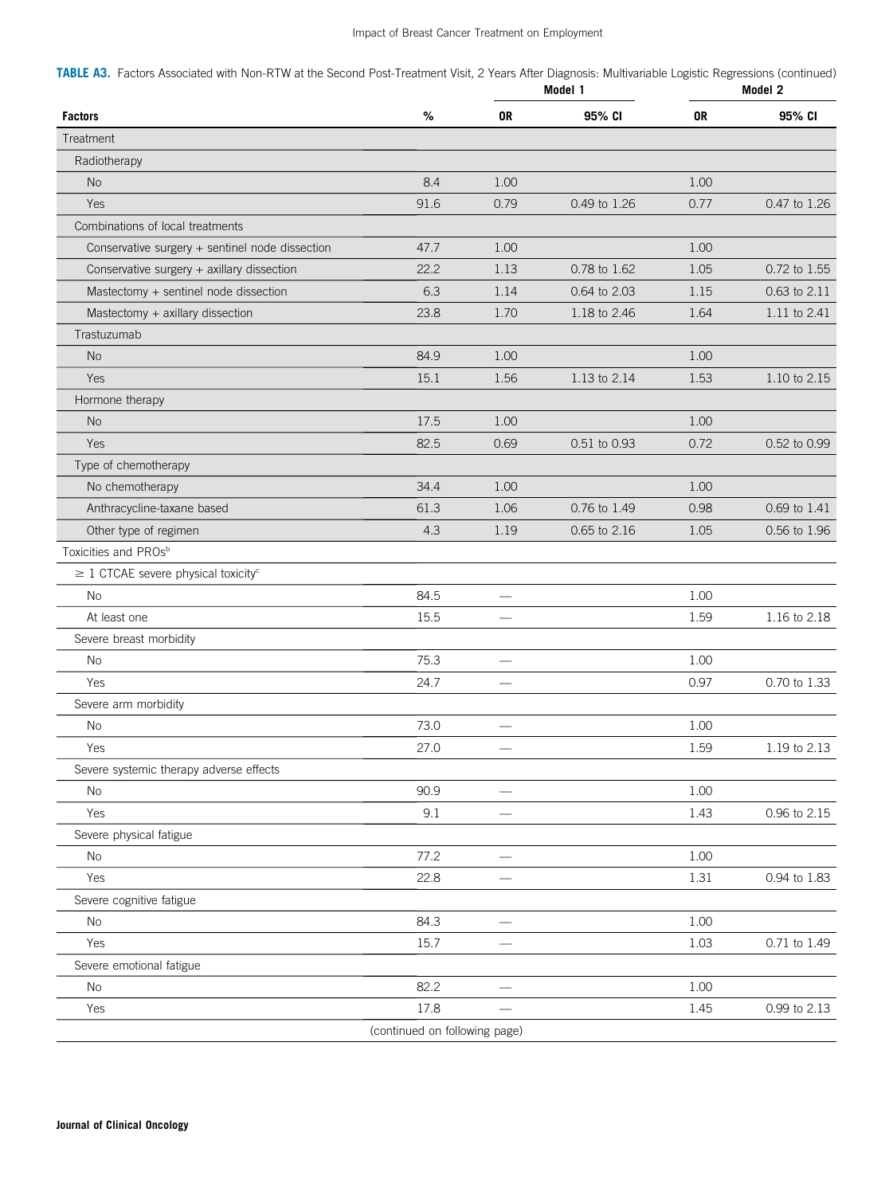TABLE A3. Factors Associated with Non-RTW at the Second Post-Treatment Visit, 2 Years After Diagnosis: Multivariable Logistic Regressions (continued)

| %<br>0R<br>95% CI<br>0R<br>95% CI<br><b>Factors</b><br>Treatment<br>Radiotherapy<br>8.4<br>1.00<br>1.00<br><b>No</b><br>Yes<br>91.6<br>0.79<br>0.77<br>0.47 to 1.26<br>0.49 to 1.26<br>Combinations of local treatments<br>1.00<br>47.7<br>1.00<br>Conservative surgery + sentinel node dissection<br>Conservative surgery + axillary dissection<br>22.2<br>0.78 to 1.62<br>1.05<br>0.72 to 1.55<br>1.13<br>Mastectomy + sentinel node dissection<br>6.3<br>1.14<br>0.64 to 2.03<br>1.15<br>0.63 to 2.11<br>Mastectomy + axillary dissection<br>23.8<br>1.70<br>1.18 to 2.46<br>1.64<br>1.11 to 2.41<br>Trastuzumab<br>1.00<br><b>No</b><br>84.9<br>1.00<br>Yes<br>15.1<br>1.56<br>1.53<br>1.10 to 2.15<br>1.13 to 2.14<br>Hormone therapy<br>17.5<br>1.00<br><b>No</b><br>1.00<br>Yes<br>0.72<br>82.5<br>0.69<br>0.51 to 0.93<br>0.52 to 0.99<br>Type of chemotherapy<br>34.4<br>1.00<br>1.00<br>No chemotherapy<br>Anthracycline-taxane based<br>61.3<br>1.06<br>0.76 to 1.49<br>0.98<br>0.69 to 1.41<br>0.65 to 2.16<br>0.56 to 1.96<br>Other type of regimen<br>4.3<br>1.19<br>1.05<br>Toxicities and PROs <sup>b</sup><br>$\geq$ 1 CTCAE severe physical toxicity <sup>c</sup><br>84.5<br>1.00<br><b>No</b><br>$\equiv$<br>15.5<br>1.59<br>1.16 to 2.18<br>At least one<br>Severe breast morbidity<br>75.3<br>1.00<br><b>No</b><br>Yes<br>24.7<br>0.97<br>0.70 to 1.33<br>Severe arm morbidity<br><b>No</b><br>73.0<br>1.00<br>Yes<br>27.0<br>1.59<br>1.19 to 2.13<br>Severe systemic therapy adverse effects<br>90.9<br>1.00<br>No<br>9.1<br>1.43<br>Yes<br>0.96 to 2.15<br>Severe physical fatigue<br>1.00<br>77.2<br>No<br>1.31<br>Yes<br>22.8<br>0.94 to 1.83<br>Severe cognitive fatigue<br>84.3<br>1.00<br>No<br>15.7<br>1.03<br>0.71 to 1.49<br>Yes<br>Severe emotional fatigue<br>82.2<br>1.00<br>No<br>17.8<br>0.99 to 2.13<br>1.45<br>Yes<br>(continued on following page) |  | Model 1 | Model 2 |  |  |
|-------------------------------------------------------------------------------------------------------------------------------------------------------------------------------------------------------------------------------------------------------------------------------------------------------------------------------------------------------------------------------------------------------------------------------------------------------------------------------------------------------------------------------------------------------------------------------------------------------------------------------------------------------------------------------------------------------------------------------------------------------------------------------------------------------------------------------------------------------------------------------------------------------------------------------------------------------------------------------------------------------------------------------------------------------------------------------------------------------------------------------------------------------------------------------------------------------------------------------------------------------------------------------------------------------------------------------------------------------------------------------------------------------------------------------------------------------------------------------------------------------------------------------------------------------------------------------------------------------------------------------------------------------------------------------------------------------------------------------------------------------------------------------------------------------------------------------------------------------------------------------------------|--|---------|---------|--|--|
|                                                                                                                                                                                                                                                                                                                                                                                                                                                                                                                                                                                                                                                                                                                                                                                                                                                                                                                                                                                                                                                                                                                                                                                                                                                                                                                                                                                                                                                                                                                                                                                                                                                                                                                                                                                                                                                                                           |  |         |         |  |  |
|                                                                                                                                                                                                                                                                                                                                                                                                                                                                                                                                                                                                                                                                                                                                                                                                                                                                                                                                                                                                                                                                                                                                                                                                                                                                                                                                                                                                                                                                                                                                                                                                                                                                                                                                                                                                                                                                                           |  |         |         |  |  |
|                                                                                                                                                                                                                                                                                                                                                                                                                                                                                                                                                                                                                                                                                                                                                                                                                                                                                                                                                                                                                                                                                                                                                                                                                                                                                                                                                                                                                                                                                                                                                                                                                                                                                                                                                                                                                                                                                           |  |         |         |  |  |
|                                                                                                                                                                                                                                                                                                                                                                                                                                                                                                                                                                                                                                                                                                                                                                                                                                                                                                                                                                                                                                                                                                                                                                                                                                                                                                                                                                                                                                                                                                                                                                                                                                                                                                                                                                                                                                                                                           |  |         |         |  |  |
|                                                                                                                                                                                                                                                                                                                                                                                                                                                                                                                                                                                                                                                                                                                                                                                                                                                                                                                                                                                                                                                                                                                                                                                                                                                                                                                                                                                                                                                                                                                                                                                                                                                                                                                                                                                                                                                                                           |  |         |         |  |  |
|                                                                                                                                                                                                                                                                                                                                                                                                                                                                                                                                                                                                                                                                                                                                                                                                                                                                                                                                                                                                                                                                                                                                                                                                                                                                                                                                                                                                                                                                                                                                                                                                                                                                                                                                                                                                                                                                                           |  |         |         |  |  |
|                                                                                                                                                                                                                                                                                                                                                                                                                                                                                                                                                                                                                                                                                                                                                                                                                                                                                                                                                                                                                                                                                                                                                                                                                                                                                                                                                                                                                                                                                                                                                                                                                                                                                                                                                                                                                                                                                           |  |         |         |  |  |
|                                                                                                                                                                                                                                                                                                                                                                                                                                                                                                                                                                                                                                                                                                                                                                                                                                                                                                                                                                                                                                                                                                                                                                                                                                                                                                                                                                                                                                                                                                                                                                                                                                                                                                                                                                                                                                                                                           |  |         |         |  |  |
|                                                                                                                                                                                                                                                                                                                                                                                                                                                                                                                                                                                                                                                                                                                                                                                                                                                                                                                                                                                                                                                                                                                                                                                                                                                                                                                                                                                                                                                                                                                                                                                                                                                                                                                                                                                                                                                                                           |  |         |         |  |  |
|                                                                                                                                                                                                                                                                                                                                                                                                                                                                                                                                                                                                                                                                                                                                                                                                                                                                                                                                                                                                                                                                                                                                                                                                                                                                                                                                                                                                                                                                                                                                                                                                                                                                                                                                                                                                                                                                                           |  |         |         |  |  |
|                                                                                                                                                                                                                                                                                                                                                                                                                                                                                                                                                                                                                                                                                                                                                                                                                                                                                                                                                                                                                                                                                                                                                                                                                                                                                                                                                                                                                                                                                                                                                                                                                                                                                                                                                                                                                                                                                           |  |         |         |  |  |
|                                                                                                                                                                                                                                                                                                                                                                                                                                                                                                                                                                                                                                                                                                                                                                                                                                                                                                                                                                                                                                                                                                                                                                                                                                                                                                                                                                                                                                                                                                                                                                                                                                                                                                                                                                                                                                                                                           |  |         |         |  |  |
|                                                                                                                                                                                                                                                                                                                                                                                                                                                                                                                                                                                                                                                                                                                                                                                                                                                                                                                                                                                                                                                                                                                                                                                                                                                                                                                                                                                                                                                                                                                                                                                                                                                                                                                                                                                                                                                                                           |  |         |         |  |  |
|                                                                                                                                                                                                                                                                                                                                                                                                                                                                                                                                                                                                                                                                                                                                                                                                                                                                                                                                                                                                                                                                                                                                                                                                                                                                                                                                                                                                                                                                                                                                                                                                                                                                                                                                                                                                                                                                                           |  |         |         |  |  |
|                                                                                                                                                                                                                                                                                                                                                                                                                                                                                                                                                                                                                                                                                                                                                                                                                                                                                                                                                                                                                                                                                                                                                                                                                                                                                                                                                                                                                                                                                                                                                                                                                                                                                                                                                                                                                                                                                           |  |         |         |  |  |
|                                                                                                                                                                                                                                                                                                                                                                                                                                                                                                                                                                                                                                                                                                                                                                                                                                                                                                                                                                                                                                                                                                                                                                                                                                                                                                                                                                                                                                                                                                                                                                                                                                                                                                                                                                                                                                                                                           |  |         |         |  |  |
|                                                                                                                                                                                                                                                                                                                                                                                                                                                                                                                                                                                                                                                                                                                                                                                                                                                                                                                                                                                                                                                                                                                                                                                                                                                                                                                                                                                                                                                                                                                                                                                                                                                                                                                                                                                                                                                                                           |  |         |         |  |  |
|                                                                                                                                                                                                                                                                                                                                                                                                                                                                                                                                                                                                                                                                                                                                                                                                                                                                                                                                                                                                                                                                                                                                                                                                                                                                                                                                                                                                                                                                                                                                                                                                                                                                                                                                                                                                                                                                                           |  |         |         |  |  |
|                                                                                                                                                                                                                                                                                                                                                                                                                                                                                                                                                                                                                                                                                                                                                                                                                                                                                                                                                                                                                                                                                                                                                                                                                                                                                                                                                                                                                                                                                                                                                                                                                                                                                                                                                                                                                                                                                           |  |         |         |  |  |
|                                                                                                                                                                                                                                                                                                                                                                                                                                                                                                                                                                                                                                                                                                                                                                                                                                                                                                                                                                                                                                                                                                                                                                                                                                                                                                                                                                                                                                                                                                                                                                                                                                                                                                                                                                                                                                                                                           |  |         |         |  |  |
|                                                                                                                                                                                                                                                                                                                                                                                                                                                                                                                                                                                                                                                                                                                                                                                                                                                                                                                                                                                                                                                                                                                                                                                                                                                                                                                                                                                                                                                                                                                                                                                                                                                                                                                                                                                                                                                                                           |  |         |         |  |  |
|                                                                                                                                                                                                                                                                                                                                                                                                                                                                                                                                                                                                                                                                                                                                                                                                                                                                                                                                                                                                                                                                                                                                                                                                                                                                                                                                                                                                                                                                                                                                                                                                                                                                                                                                                                                                                                                                                           |  |         |         |  |  |
|                                                                                                                                                                                                                                                                                                                                                                                                                                                                                                                                                                                                                                                                                                                                                                                                                                                                                                                                                                                                                                                                                                                                                                                                                                                                                                                                                                                                                                                                                                                                                                                                                                                                                                                                                                                                                                                                                           |  |         |         |  |  |
|                                                                                                                                                                                                                                                                                                                                                                                                                                                                                                                                                                                                                                                                                                                                                                                                                                                                                                                                                                                                                                                                                                                                                                                                                                                                                                                                                                                                                                                                                                                                                                                                                                                                                                                                                                                                                                                                                           |  |         |         |  |  |
|                                                                                                                                                                                                                                                                                                                                                                                                                                                                                                                                                                                                                                                                                                                                                                                                                                                                                                                                                                                                                                                                                                                                                                                                                                                                                                                                                                                                                                                                                                                                                                                                                                                                                                                                                                                                                                                                                           |  |         |         |  |  |
|                                                                                                                                                                                                                                                                                                                                                                                                                                                                                                                                                                                                                                                                                                                                                                                                                                                                                                                                                                                                                                                                                                                                                                                                                                                                                                                                                                                                                                                                                                                                                                                                                                                                                                                                                                                                                                                                                           |  |         |         |  |  |
|                                                                                                                                                                                                                                                                                                                                                                                                                                                                                                                                                                                                                                                                                                                                                                                                                                                                                                                                                                                                                                                                                                                                                                                                                                                                                                                                                                                                                                                                                                                                                                                                                                                                                                                                                                                                                                                                                           |  |         |         |  |  |
|                                                                                                                                                                                                                                                                                                                                                                                                                                                                                                                                                                                                                                                                                                                                                                                                                                                                                                                                                                                                                                                                                                                                                                                                                                                                                                                                                                                                                                                                                                                                                                                                                                                                                                                                                                                                                                                                                           |  |         |         |  |  |
|                                                                                                                                                                                                                                                                                                                                                                                                                                                                                                                                                                                                                                                                                                                                                                                                                                                                                                                                                                                                                                                                                                                                                                                                                                                                                                                                                                                                                                                                                                                                                                                                                                                                                                                                                                                                                                                                                           |  |         |         |  |  |
|                                                                                                                                                                                                                                                                                                                                                                                                                                                                                                                                                                                                                                                                                                                                                                                                                                                                                                                                                                                                                                                                                                                                                                                                                                                                                                                                                                                                                                                                                                                                                                                                                                                                                                                                                                                                                                                                                           |  |         |         |  |  |
|                                                                                                                                                                                                                                                                                                                                                                                                                                                                                                                                                                                                                                                                                                                                                                                                                                                                                                                                                                                                                                                                                                                                                                                                                                                                                                                                                                                                                                                                                                                                                                                                                                                                                                                                                                                                                                                                                           |  |         |         |  |  |
|                                                                                                                                                                                                                                                                                                                                                                                                                                                                                                                                                                                                                                                                                                                                                                                                                                                                                                                                                                                                                                                                                                                                                                                                                                                                                                                                                                                                                                                                                                                                                                                                                                                                                                                                                                                                                                                                                           |  |         |         |  |  |
|                                                                                                                                                                                                                                                                                                                                                                                                                                                                                                                                                                                                                                                                                                                                                                                                                                                                                                                                                                                                                                                                                                                                                                                                                                                                                                                                                                                                                                                                                                                                                                                                                                                                                                                                                                                                                                                                                           |  |         |         |  |  |
|                                                                                                                                                                                                                                                                                                                                                                                                                                                                                                                                                                                                                                                                                                                                                                                                                                                                                                                                                                                                                                                                                                                                                                                                                                                                                                                                                                                                                                                                                                                                                                                                                                                                                                                                                                                                                                                                                           |  |         |         |  |  |
|                                                                                                                                                                                                                                                                                                                                                                                                                                                                                                                                                                                                                                                                                                                                                                                                                                                                                                                                                                                                                                                                                                                                                                                                                                                                                                                                                                                                                                                                                                                                                                                                                                                                                                                                                                                                                                                                                           |  |         |         |  |  |
|                                                                                                                                                                                                                                                                                                                                                                                                                                                                                                                                                                                                                                                                                                                                                                                                                                                                                                                                                                                                                                                                                                                                                                                                                                                                                                                                                                                                                                                                                                                                                                                                                                                                                                                                                                                                                                                                                           |  |         |         |  |  |
|                                                                                                                                                                                                                                                                                                                                                                                                                                                                                                                                                                                                                                                                                                                                                                                                                                                                                                                                                                                                                                                                                                                                                                                                                                                                                                                                                                                                                                                                                                                                                                                                                                                                                                                                                                                                                                                                                           |  |         |         |  |  |
|                                                                                                                                                                                                                                                                                                                                                                                                                                                                                                                                                                                                                                                                                                                                                                                                                                                                                                                                                                                                                                                                                                                                                                                                                                                                                                                                                                                                                                                                                                                                                                                                                                                                                                                                                                                                                                                                                           |  |         |         |  |  |
|                                                                                                                                                                                                                                                                                                                                                                                                                                                                                                                                                                                                                                                                                                                                                                                                                                                                                                                                                                                                                                                                                                                                                                                                                                                                                                                                                                                                                                                                                                                                                                                                                                                                                                                                                                                                                                                                                           |  |         |         |  |  |
|                                                                                                                                                                                                                                                                                                                                                                                                                                                                                                                                                                                                                                                                                                                                                                                                                                                                                                                                                                                                                                                                                                                                                                                                                                                                                                                                                                                                                                                                                                                                                                                                                                                                                                                                                                                                                                                                                           |  |         |         |  |  |
|                                                                                                                                                                                                                                                                                                                                                                                                                                                                                                                                                                                                                                                                                                                                                                                                                                                                                                                                                                                                                                                                                                                                                                                                                                                                                                                                                                                                                                                                                                                                                                                                                                                                                                                                                                                                                                                                                           |  |         |         |  |  |
|                                                                                                                                                                                                                                                                                                                                                                                                                                                                                                                                                                                                                                                                                                                                                                                                                                                                                                                                                                                                                                                                                                                                                                                                                                                                                                                                                                                                                                                                                                                                                                                                                                                                                                                                                                                                                                                                                           |  |         |         |  |  |
|                                                                                                                                                                                                                                                                                                                                                                                                                                                                                                                                                                                                                                                                                                                                                                                                                                                                                                                                                                                                                                                                                                                                                                                                                                                                                                                                                                                                                                                                                                                                                                                                                                                                                                                                                                                                                                                                                           |  |         |         |  |  |